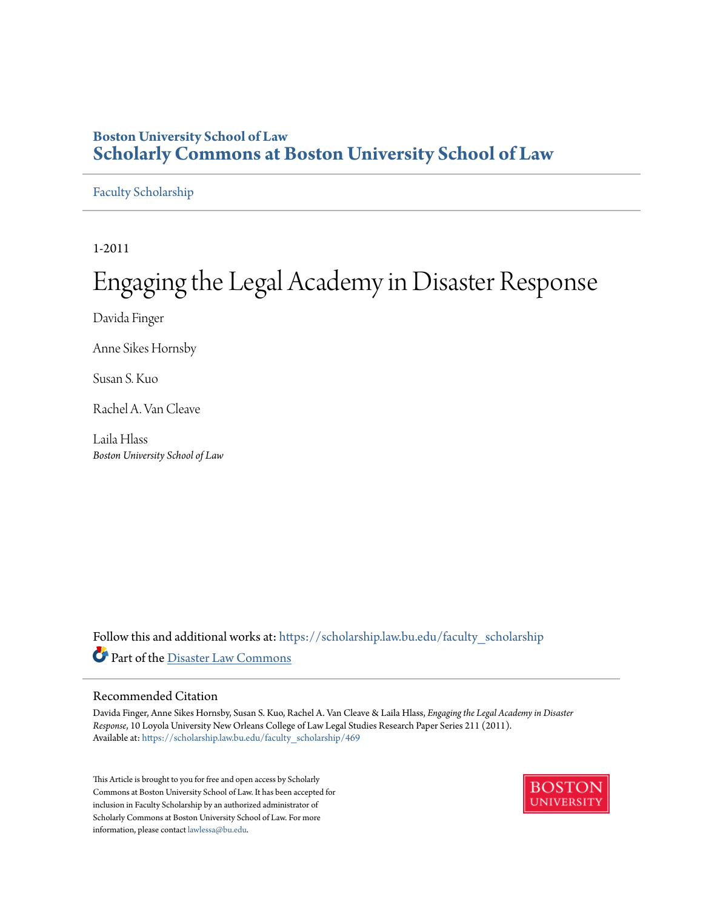## **Boston University School of Law [Scholarly Commons at Boston University School of Law](https://scholarship.law.bu.edu?utm_source=scholarship.law.bu.edu%2Ffaculty_scholarship%2F469&utm_medium=PDF&utm_campaign=PDFCoverPages)**

#### [Faculty Scholarship](https://scholarship.law.bu.edu/faculty_scholarship?utm_source=scholarship.law.bu.edu%2Ffaculty_scholarship%2F469&utm_medium=PDF&utm_campaign=PDFCoverPages)

1-2011

# Engaging the Legal Academy in Disaster Response

Davida Finger

Anne Sikes Hornsby

Susan S. Kuo

Rachel A. Van Cleave

Laila Hlass *Boston University School of Law*

Follow this and additional works at: [https://scholarship.law.bu.edu/faculty\\_scholarship](https://scholarship.law.bu.edu/faculty_scholarship?utm_source=scholarship.law.bu.edu%2Ffaculty_scholarship%2F469&utm_medium=PDF&utm_campaign=PDFCoverPages) Part of the [Disaster Law Commons](http://network.bepress.com/hgg/discipline/1348?utm_source=scholarship.law.bu.edu%2Ffaculty_scholarship%2F469&utm_medium=PDF&utm_campaign=PDFCoverPages)

#### Recommended Citation

Davida Finger, Anne Sikes Hornsby, Susan S. Kuo, Rachel A. Van Cleave & Laila Hlass, *Engaging the Legal Academy in Disaster Response*, 10 Loyola University New Orleans College of Law Legal Studies Research Paper Series 211 (2011). Available at: [https://scholarship.law.bu.edu/faculty\\_scholarship/469](https://scholarship.law.bu.edu/faculty_scholarship/469?utm_source=scholarship.law.bu.edu%2Ffaculty_scholarship%2F469&utm_medium=PDF&utm_campaign=PDFCoverPages)

This Article is brought to you for free and open access by Scholarly Commons at Boston University School of Law. It has been accepted for inclusion in Faculty Scholarship by an authorized administrator of Scholarly Commons at Boston University School of Law. For more information, please contact [lawlessa@bu.edu.](mailto:lawlessa@bu.edu)

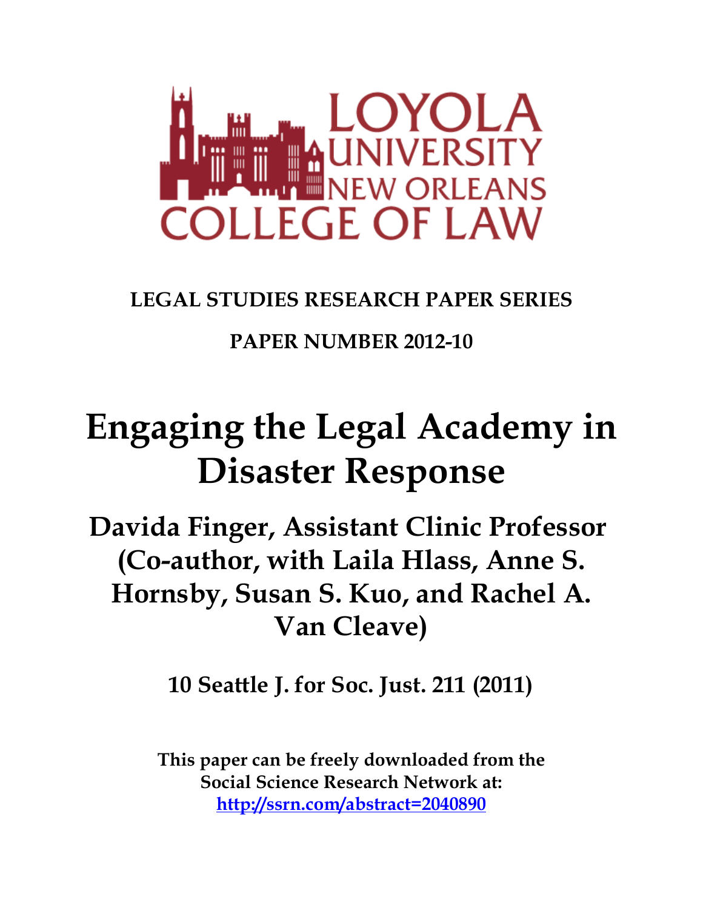

## **LEGAL STUDIES RESEARCH PAPER SERIES**

## **PAPER NUMBER 2012-10**

# **Engaging the Legal Academy in Disaster Response**

**Davida Finger, Assistant Clinic Professor (Co-author, with Laila Hlass, Anne S. Hornsby, Susan S. Kuo, and Rachel A. Van Cleave)**

**10 Seattle J. for Soc. Just. 211 (2011)**

**This paper can be freely downloaded from the Social Science Research Network at: http://ssrn.com/abstract=2040890**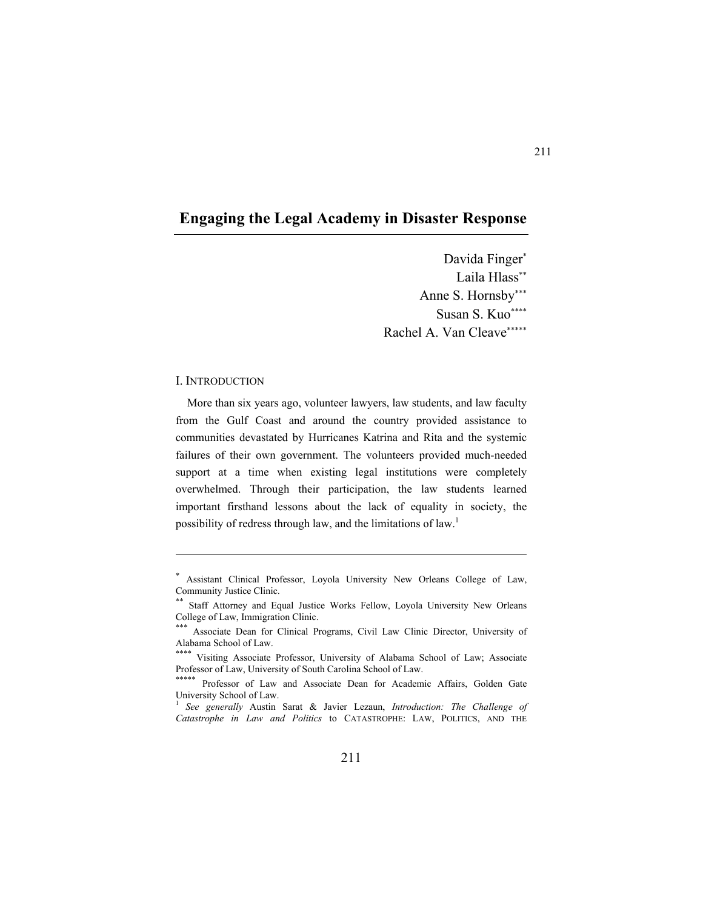### **Engaging the Legal Academy in Disaster Response**

Davida Finger Laila Hlass\*\* Anne S. Hornsby Susan S. Kuo Rachel A. Van Cleave

#### I. INTRODUCTION

 $\overline{a}$ 

More than six years ago, volunteer lawyers, law students, and law faculty from the Gulf Coast and around the country provided assistance to communities devastated by Hurricanes Katrina and Rita and the systemic failures of their own government. The volunteers provided much-needed support at a time when existing legal institutions were completely overwhelmed. Through their participation, the law students learned important firsthand lessons about the lack of equality in society, the possibility of redress through law, and the limitations of law.<sup>1</sup>

 Assistant Clinical Professor, Loyola University New Orleans College of Law, Community Justice Clinic.

 Staff Attorney and Equal Justice Works Fellow, Loyola University New Orleans College of Law, Immigration Clinic.<br>\*\*\* Associate Dean for Clinical Programs, Civil Law Clinic Director, University of

Alabama School of Law.

<sup>\*\*\*\*</sup> Visiting Associate Professor, University of Alabama School of Law; Associate Professor of Law, University of South Carolina School of Law.

<sup>\*\*\*\*\*</sup> Professor of Law and Associate Dean for Academic Affairs, Golden Gate University School of Law.

<sup>&</sup>lt;sup>1</sup> See generally Austin Sarat & Javier Lezaun, *Introduction: The Challenge of Catastrophe in Law and Politics* to CATASTROPHE: LAW, POLITICS, AND THE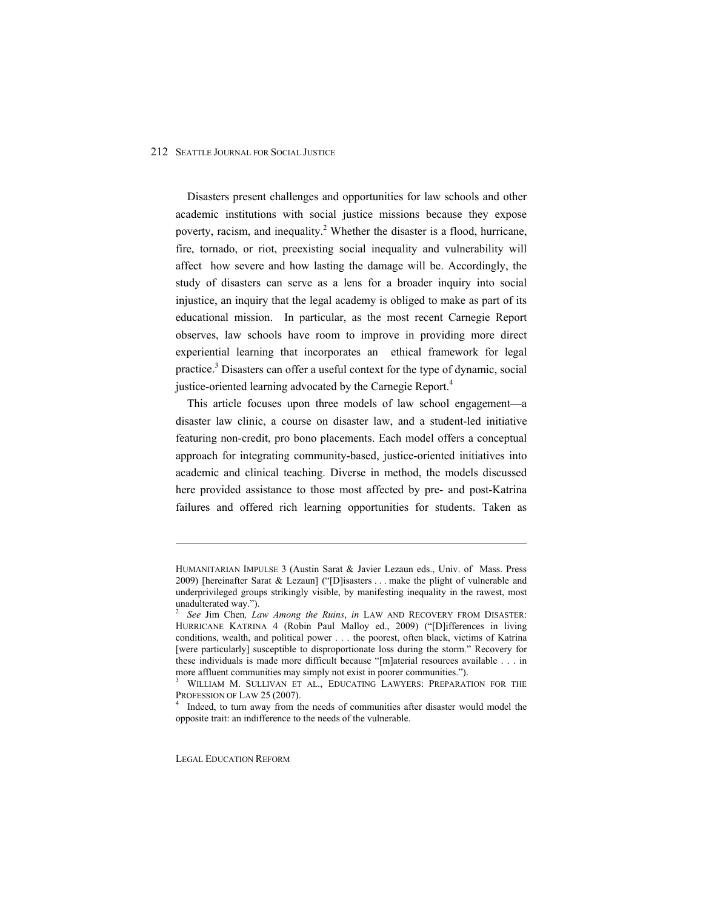Disasters present challenges and opportunities for law schools and other academic institutions with social justice missions because they expose poverty, racism, and inequality.<sup>2</sup> Whether the disaster is a flood, hurricane, fire, tornado, or riot, preexisting social inequality and vulnerability will affect how severe and how lasting the damage will be. Accordingly, the study of disasters can serve as a lens for a broader inquiry into social injustice, an inquiry that the legal academy is obliged to make as part of its educational mission. In particular, as the most recent Carnegie Report observes, law schools have room to improve in providing more direct experiential learning that incorporates an ethical framework for legal practice.<sup>3</sup> Disasters can offer a useful context for the type of dynamic, social justice-oriented learning advocated by the Carnegie Report.<sup>4</sup>

This article focuses upon three models of law school engagement-a disaster law clinic, a course on disaster law, and a student-led initiative featuring non-credit, pro bono placements. Each model offers a conceptual approach for integrating community-based, justice-oriented initiatives into academic and clinical teaching. Diverse in method, the models discussed here provided assistance to those most affected by pre- and post-Katrina failures and offered rich learning opportunities for students. Taken as

LEGAL EDUCATION REFORM

HUMANITARIAN IMPULSE 3 (Austin Sarat & Javier Lezaun eds., Univ. of Mass. Press 2009) [hereinafter Sarat & Lezaun] ("[D]isasters . . . make the plight of vulnerable and underprivileged groups strikingly visible, by manifesting inequality in the rawest, most unadulterated way.").<br> $\frac{2}{\pi}$  See Fig. Change L a

*See* Jim Chen*, Law Among the Ruins*, *in* LAW AND RECOVERY FROM DISASTER: HURRICANE KATRINA 4 (Robin Paul Malloy ed., 2009) ("[D]ifferences in living conditions, wealth, and political power . . . the poorest, often black, victims of Katrina [were particularly] susceptible to disproportionate loss during the storm." Recovery for these individuals is made more difficult because " $[m]$ aterial resources available . . . in more affluent communities may simply not exist in poorer communities.").

WILLIAM M. SULLIVAN ET AL., EDUCATING LAWYERS: PREPARATION FOR THE PROFESSION OF LAW 25 (2007).

Indeed, to turn away from the needs of communities after disaster would model the opposite trait: an indifference to the needs of the vulnerable.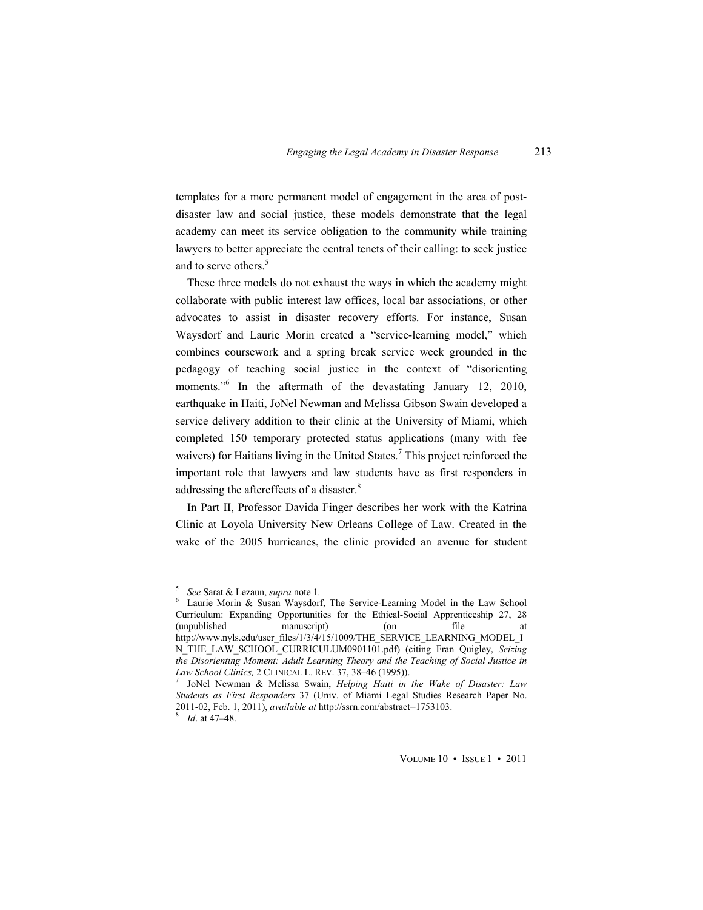templates for a more permanent model of engagement in the area of postdisaster law and social justice, these models demonstrate that the legal academy can meet its service obligation to the community while training lawyers to better appreciate the central tenets of their calling: to seek justice and to serve others.<sup>5</sup>

These three models do not exhaust the ways in which the academy might collaborate with public interest law offices, local bar associations, or other advocates to assist in disaster recovery efforts. For instance, Susan Waysdorf and Laurie Morin created a "service-learning model," which combines coursework and a spring break service week grounded in the pedagogy of teaching social justice in the context of "disorienting" moments."<sup>6</sup> In the aftermath of the devastating January 12, 2010, earthquake in Haiti, JoNel Newman and Melissa Gibson Swain developed a service delivery addition to their clinic at the University of Miami, which completed 150 temporary protected status applications (many with fee waivers) for Haitians living in the United States.<sup>7</sup> This project reinforced the important role that lawyers and law students have as first responders in addressing the aftereffects of a disaster.<sup>8</sup>

In Part II, Professor Davida Finger describes her work with the Katrina Clinic at Loyola University New Orleans College of Law. Created in the wake of the 2005 hurricanes, the clinic provided an avenue for student

<sup>5</sup> <sup>5</sup> See Sarat & Lezaun, *supra* note 1.

Laurie Morin & Susan Waysdorf, The Service-Learning Model in the Law School Curriculum: Expanding Opportunities for the Ethical-Social Apprenticeship 27, 28 (unpublished manuscript) (on file at http://www.nyls.edu/user\_files/1/3/4/15/1009/THE\_SERVICE\_LEARNING\_MODEL\_I N\_THE\_LAW\_SCHOOL\_CURRICULUM0901101.pdf) (citing Fran Quigley, *Seizing the Disorienting Moment: Adult Learning Theory and the Teaching of Social Justice in Law School Clinics,* 2 CLINICAL L. REV. 37, 38-46 (1995)).

JoNel Newman & Melissa Swain, *Helping Haiti in the Wake of Disaster: Law Students as First Responders* 37 (Univ. of Miami Legal Studies Research Paper No. 2011-02, Feb. 1, 2011), *available at* http://ssrn.com/abstract=1753103. 8

*Id.* at 47–48.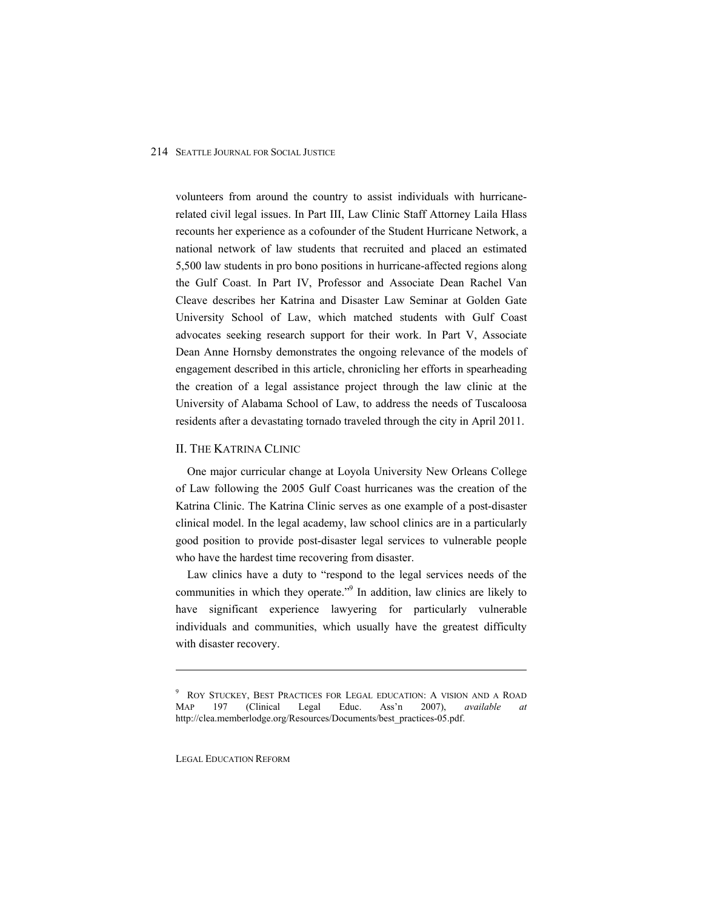volunteers from around the country to assist individuals with hurricanerelated civil legal issues. In Part III, Law Clinic Staff Attorney Laila Hlass recounts her experience as a cofounder of the Student Hurricane Network, a national network of law students that recruited and placed an estimated 5,500 law students in pro bono positions in hurricane-affected regions along the Gulf Coast. In Part IV, Professor and Associate Dean Rachel Van Cleave describes her Katrina and Disaster Law Seminar at Golden Gate University School of Law, which matched students with Gulf Coast advocates seeking research support for their work. In Part V, Associate Dean Anne Hornsby demonstrates the ongoing relevance of the models of engagement described in this article, chronicling her efforts in spearheading the creation of a legal assistance project through the law clinic at the University of Alabama School of Law, to address the needs of Tuscaloosa residents after a devastating tornado traveled through the city in April 2011.

#### II. THE KATRINA CLINIC

One major curricular change at Loyola University New Orleans College of Law following the 2005 Gulf Coast hurricanes was the creation of the Katrina Clinic. The Katrina Clinic serves as one example of a post-disaster clinical model. In the legal academy, law school clinics are in a particularly good position to provide post-disaster legal services to vulnerable people who have the hardest time recovering from disaster.

Law clinics have a duty to "respond to the legal services needs of the communities in which they operate."<sup>9</sup> In addition, law clinics are likely to have significant experience lawyering for particularly vulnerable individuals and communities, which usually have the greatest difficulty with disaster recovery.

LEGAL EDUCATION REFORM

<sup>&</sup>lt;sup>9</sup> ROY STUCKEY, BEST PRACTICES FOR LEGAL EDUCATION: A VISION AND A ROAD MAP 197 (Clinical Legal Educ. Ass'n 2007), *available at* http://clea.memberlodge.org/Resources/Documents/best\_practices-05.pdf.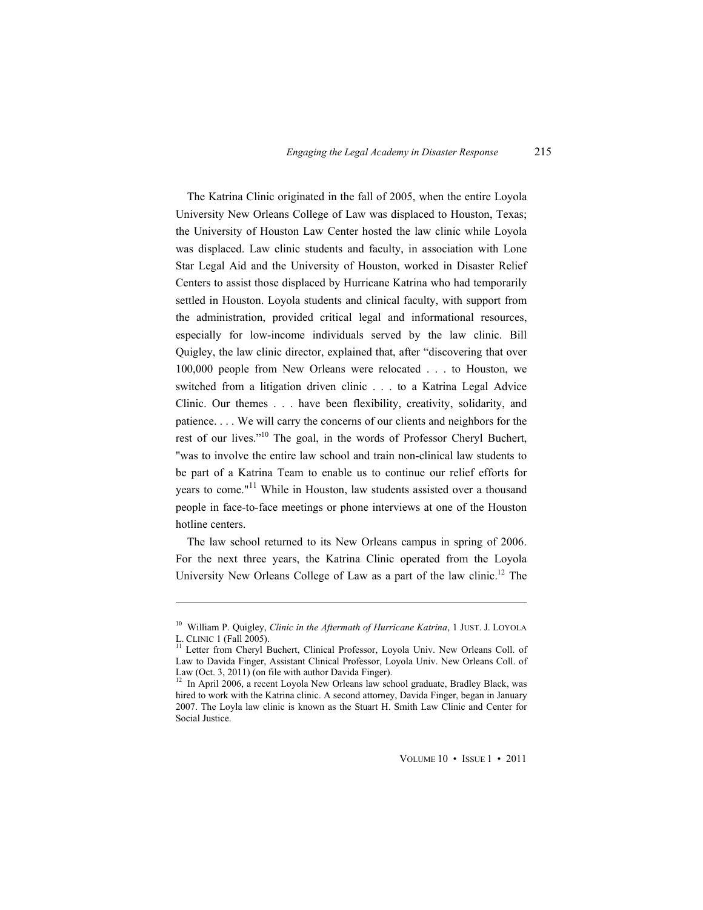The Katrina Clinic originated in the fall of 2005, when the entire Loyola University New Orleans College of Law was displaced to Houston, Texas; the University of Houston Law Center hosted the law clinic while Loyola was displaced. Law clinic students and faculty, in association with Lone Star Legal Aid and the University of Houston, worked in Disaster Relief Centers to assist those displaced by Hurricane Katrina who had temporarily settled in Houston. Loyola students and clinical faculty, with support from the administration, provided critical legal and informational resources, especially for low-income individuals served by the law clinic. Bill Quigley, the law clinic director, explained that, after "discovering that over 100,000 people from New Orleans were relocated . . . to Houston, we switched from a litigation driven clinic . . . to a Katrina Legal Advice Clinic. Our themes . . . have been flexibility, creativity, solidarity, and patience. . . . We will carry the concerns of our clients and neighbors for the rest of our lives."<sup>10</sup> The goal, in the words of Professor Cheryl Buchert, "was to involve the entire law school and train non-clinical law students to be part of a Katrina Team to enable us to continue our relief efforts for years to come."<sup>11</sup> While in Houston, law students assisted over a thousand people in face-to-face meetings or phone interviews at one of the Houston hotline centers.

The law school returned to its New Orleans campus in spring of 2006. For the next three years, the Katrina Clinic operated from the Loyola University New Orleans College of Law as a part of the law clinic.<sup>12</sup> The

<sup>&</sup>lt;sup>10</sup> William P. Quigley, *Clinic in the Aftermath of Hurricane Katrina*, 1 JUST. J. LOYOLA L. CLINIC 1 (Fall 2005).

Letter from Cheryl Buchert, Clinical Professor, Loyola Univ. New Orleans Coll. of Law to Davida Finger, Assistant Clinical Professor, Loyola Univ. New Orleans Coll. of Law (Oct. 3, 2011) (on file with author Davida Finger).<br><sup>12</sup> In April 2006, a recent Loyola New Orleans law school graduate, Bradley Black, was

hired to work with the Katrina clinic. A second attorney, Davida Finger, began in January 2007. The Loyla law clinic is known as the Stuart H. Smith Law Clinic and Center for Social Justice.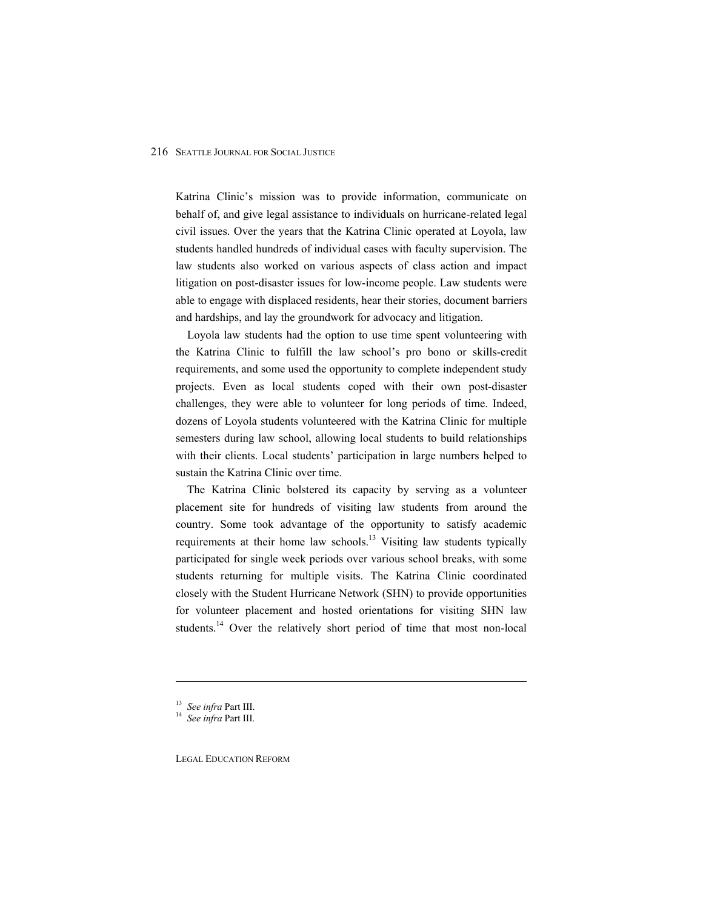Katrina Clinic's mission was to provide information, communicate on behalf of, and give legal assistance to individuals on hurricane-related legal civil issues. Over the years that the Katrina Clinic operated at Loyola, law students handled hundreds of individual cases with faculty supervision. The law students also worked on various aspects of class action and impact litigation on post-disaster issues for low-income people. Law students were able to engage with displaced residents, hear their stories, document barriers and hardships, and lay the groundwork for advocacy and litigation.

Loyola law students had the option to use time spent volunteering with the Katrina Clinic to fulfill the law school's pro bono or skills-credit requirements, and some used the opportunity to complete independent study projects. Even as local students coped with their own post-disaster challenges, they were able to volunteer for long periods of time. Indeed, dozens of Loyola students volunteered with the Katrina Clinic for multiple semesters during law school, allowing local students to build relationships with their clients. Local students' participation in large numbers helped to sustain the Katrina Clinic over time.

The Katrina Clinic bolstered its capacity by serving as a volunteer placement site for hundreds of visiting law students from around the country. Some took advantage of the opportunity to satisfy academic requirements at their home law schools.<sup>13</sup> Visiting law students typically participated for single week periods over various school breaks, with some students returning for multiple visits. The Katrina Clinic coordinated closely with the Student Hurricane Network (SHN) to provide opportunities for volunteer placement and hosted orientations for visiting SHN law students.<sup>14</sup> Over the relatively short period of time that most non-local

 $\overline{a}$ 

LEGAL EDUCATION REFORM

<sup>13</sup> *See infra* Part III. <sup>14</sup> *See infra* Part III.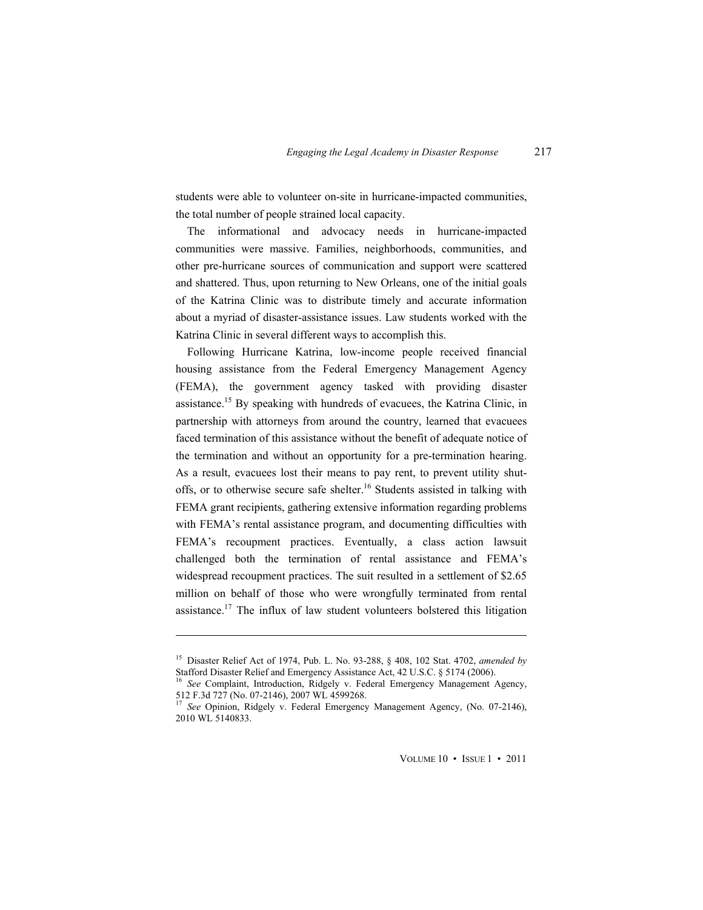students were able to volunteer on-site in hurricane-impacted communities, the total number of people strained local capacity.

The informational and advocacy needs in hurricane-impacted communities were massive. Families, neighborhoods, communities, and other pre-hurricane sources of communication and support were scattered and shattered. Thus, upon returning to New Orleans, one of the initial goals of the Katrina Clinic was to distribute timely and accurate information about a myriad of disaster-assistance issues. Law students worked with the Katrina Clinic in several different ways to accomplish this.

Following Hurricane Katrina, low-income people received financial housing assistance from the Federal Emergency Management Agency (FEMA), the government agency tasked with providing disaster assistance.15 By speaking with hundreds of evacuees, the Katrina Clinic, in partnership with attorneys from around the country, learned that evacuees faced termination of this assistance without the benefit of adequate notice of the termination and without an opportunity for a pre-termination hearing. As a result, evacuees lost their means to pay rent, to prevent utility shutoffs, or to otherwise secure safe shelter.<sup>16</sup> Students assisted in talking with FEMA grant recipients, gathering extensive information regarding problems with FEMA's rental assistance program, and documenting difficulties with FEMA's recoupment practices. Eventually, a class action lawsuit challenged both the termination of rental assistance and FEMA's widespread recoupment practices. The suit resulted in a settlement of \$2.65 million on behalf of those who were wrongfully terminated from rental assistance.<sup>17</sup> The influx of law student volunteers bolstered this litigation

 $\overline{a}$ 

<sup>&</sup>lt;sup>15</sup> Disaster Relief Act of 1974, Pub. L. No. 93-288, § 408, 102 Stat. 4702, *amended by* Stafford Disaster Relief and Emergency Assistance Act, 42 U.S.C. § 5174 (2006).

<sup>&</sup>lt;sup>16</sup> See Complaint, Introduction, Ridgely v. Federal Emergency Management Agency, 512 F.3d 727 (No. 07-2146), 2007 WL 4599268.

<sup>&</sup>lt;sup>17</sup> See Opinion, Ridgely v. Federal Emergency Management Agency, (No. 07-2146), 2010 WL 5140833.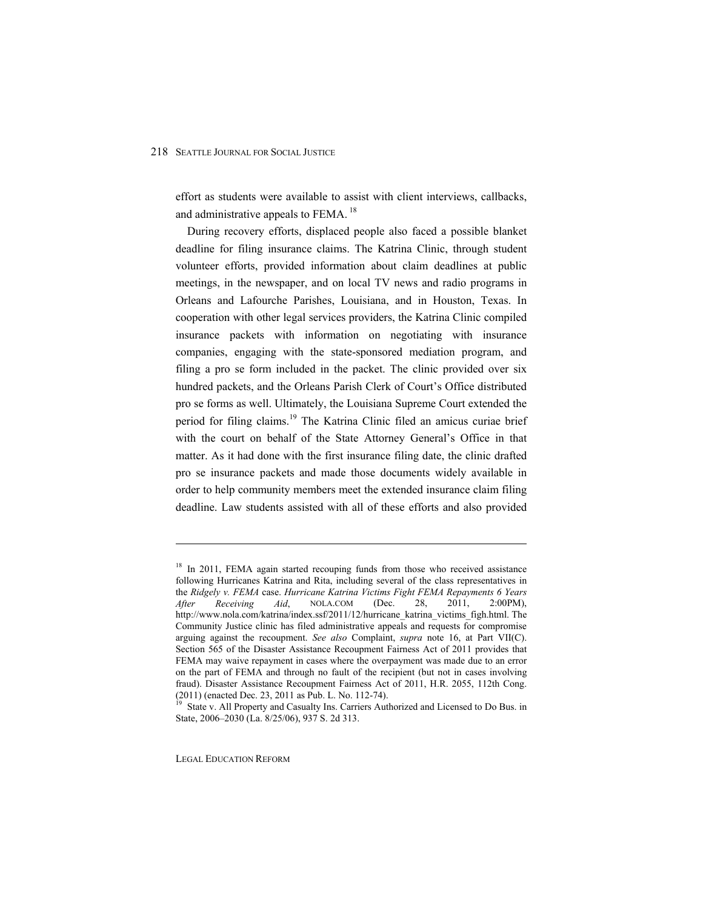effort as students were available to assist with client interviews, callbacks, and administrative appeals to FEMA.<sup>18</sup>

During recovery efforts, displaced people also faced a possible blanket deadline for filing insurance claims. The Katrina Clinic, through student volunteer efforts, provided information about claim deadlines at public meetings, in the newspaper, and on local TV news and radio programs in Orleans and Lafourche Parishes, Louisiana, and in Houston, Texas. In cooperation with other legal services providers, the Katrina Clinic compiled insurance packets with information on negotiating with insurance companies, engaging with the state-sponsored mediation program, and filing a pro se form included in the packet. The clinic provided over six hundred packets, and the Orleans Parish Clerk of Court's Office distributed pro se forms as well. Ultimately, the Louisiana Supreme Court extended the period for filing claims.19 The Katrina Clinic filed an amicus curiae brief with the court on behalf of the State Attorney General's Office in that matter. As it had done with the first insurance filing date, the clinic drafted pro se insurance packets and made those documents widely available in order to help community members meet the extended insurance claim filing deadline. Law students assisted with all of these efforts and also provided

LEGAL EDUCATION REFORM

<sup>&</sup>lt;sup>18</sup> In 2011, FEMA again started recouping funds from those who received assistance following Hurricanes Katrina and Rita, including several of the class representatives in the *Ridgely v. FEMA* case. *Hurricane Katrina Victims Fight FEMA Repayments 6 Years After Receiving Aid*, NOLA.COM (Dec. 28, 2011, 2:00PM), http://www.nola.com/katrina/index.ssf/2011/12/hurricane\_katrina\_victims\_figh.html. The Community Justice clinic has filed administrative appeals and requests for compromise arguing against the recoupment. *See also* Complaint, *supra* note 16, at Part VII(C). Section 565 of the Disaster Assistance Recoupment Fairness Act of 2011 provides that FEMA may waive repayment in cases where the overpayment was made due to an error on the part of FEMA and through no fault of the recipient (but not in cases involving fraud). Disaster Assistance Recoupment Fairness Act of 2011, H.R. 2055, 112th Cong. (2011) (enacted Dec. 23, 2011 as Pub. L. No. 112-74).

<sup>&</sup>lt;sup>19</sup> State v. All Property and Casualty Ins. Carriers Authorized and Licensed to Do Bus. in State, 2006–2030 (La. 8/25/06), 937 S. 2d 313.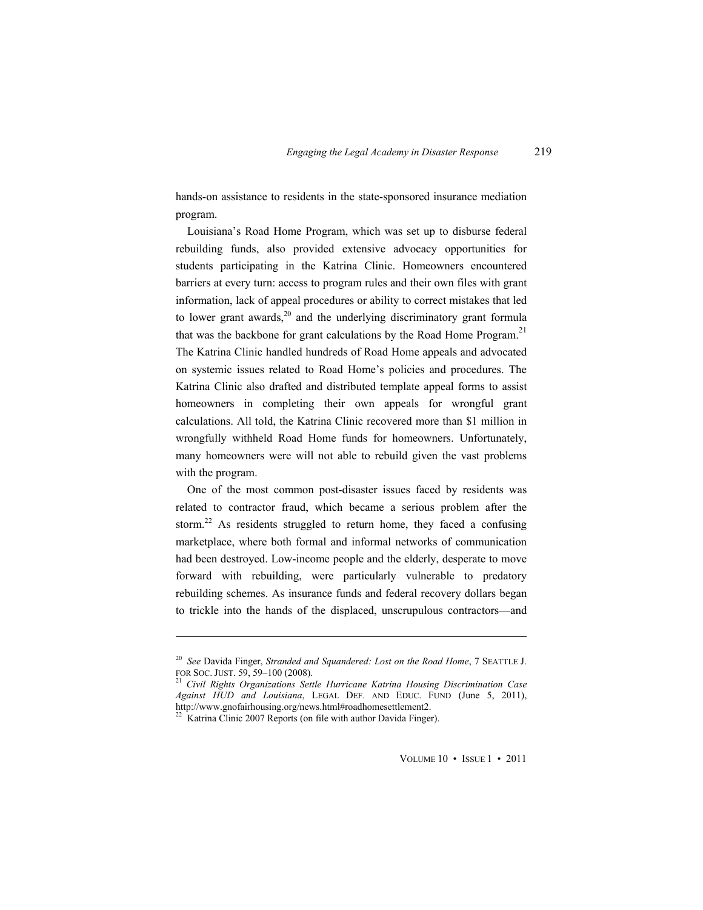hands-on assistance to residents in the state-sponsored insurance mediation program.

Louisiana's Road Home Program, which was set up to disburse federal rebuilding funds, also provided extensive advocacy opportunities for students participating in the Katrina Clinic. Homeowners encountered barriers at every turn: access to program rules and their own files with grant information, lack of appeal procedures or ability to correct mistakes that led to lower grant awards, $2^0$  and the underlying discriminatory grant formula that was the backbone for grant calculations by the Road Home Program.<sup>21</sup> The Katrina Clinic handled hundreds of Road Home appeals and advocated on systemic issues related to Road Home's policies and procedures. The Katrina Clinic also drafted and distributed template appeal forms to assist homeowners in completing their own appeals for wrongful grant calculations. All told, the Katrina Clinic recovered more than \$1 million in wrongfully withheld Road Home funds for homeowners. Unfortunately, many homeowners were will not able to rebuild given the vast problems with the program.

One of the most common post-disaster issues faced by residents was related to contractor fraud, which became a serious problem after the storm.<sup>22</sup> As residents struggled to return home, they faced a confusing marketplace, where both formal and informal networks of communication had been destroyed. Low-income people and the elderly, desperate to move forward with rebuilding, were particularly vulnerable to predatory rebuilding schemes. As insurance funds and federal recovery dollars began to trickle into the hands of the displaced, unscrupulous contractors—and

<sup>20</sup> *See* Davida Finger, *Stranded and Squandered: Lost on the Road Home*, 7 SEATTLE J. FOR SOC. JUST. 59, 59–100 (2008). <sup>21</sup> *Civil Rights Organizations Settle Hurricane Katrina Housing Discrimination Case* 

*Against HUD and Louisiana*, LEGAL DEF. AND EDUC. FUND (June 5, 2011), http://www.gnofairhousing.org/news.html#roadhomesettlement2.

<sup>&</sup>lt;sup>22</sup> Katrina Clinic 2007 Reports (on file with author Davida Finger).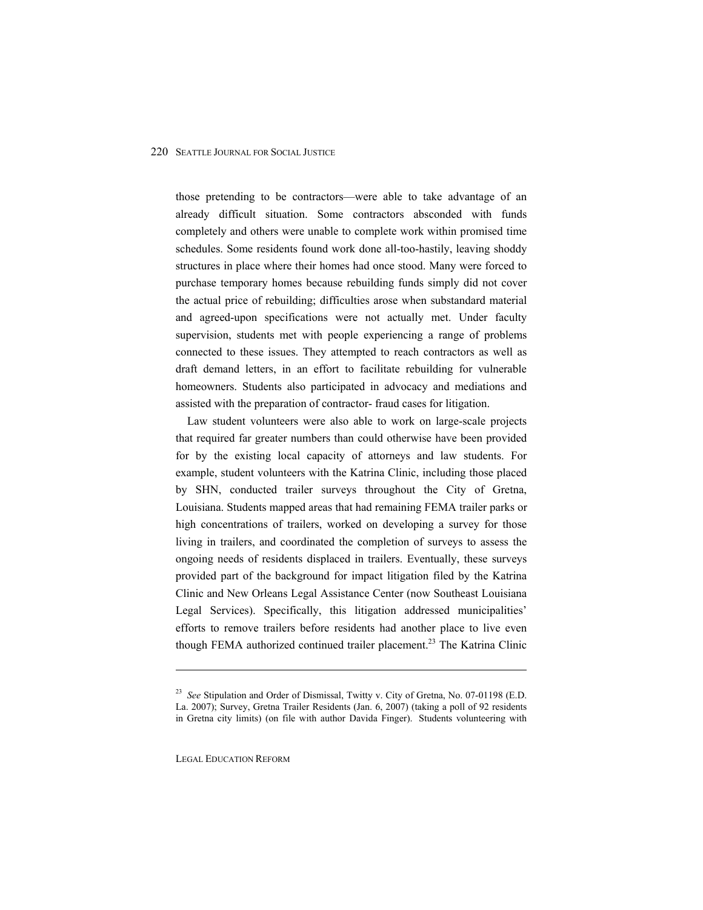those pretending to be contractors—were able to take advantage of an already difficult situation. Some contractors absconded with funds completely and others were unable to complete work within promised time schedules. Some residents found work done all-too-hastily, leaving shoddy structures in place where their homes had once stood. Many were forced to purchase temporary homes because rebuilding funds simply did not cover the actual price of rebuilding; difficulties arose when substandard material and agreed-upon specifications were not actually met. Under faculty supervision, students met with people experiencing a range of problems connected to these issues. They attempted to reach contractors as well as draft demand letters, in an effort to facilitate rebuilding for vulnerable homeowners. Students also participated in advocacy and mediations and assisted with the preparation of contractor- fraud cases for litigation.

Law student volunteers were also able to work on large-scale projects that required far greater numbers than could otherwise have been provided for by the existing local capacity of attorneys and law students. For example, student volunteers with the Katrina Clinic, including those placed by SHN, conducted trailer surveys throughout the City of Gretna, Louisiana. Students mapped areas that had remaining FEMA trailer parks or high concentrations of trailers, worked on developing a survey for those living in trailers, and coordinated the completion of surveys to assess the ongoing needs of residents displaced in trailers. Eventually, these surveys provided part of the background for impact litigation filed by the Katrina Clinic and New Orleans Legal Assistance Center (now Southeast Louisiana Legal Services). Specifically, this litigation addressed municipalities' efforts to remove trailers before residents had another place to live even though FEMA authorized continued trailer placement.<sup>23</sup> The Katrina Clinic

LEGAL EDUCATION REFORM

<sup>23</sup> *See* Stipulation and Order of Dismissal, Twitty v. City of Gretna, No. 07-01198 (E.D. La. 2007); Survey, Gretna Trailer Residents (Jan. 6, 2007) (taking a poll of 92 residents in Gretna city limits) (on file with author Davida Finger). Students volunteering with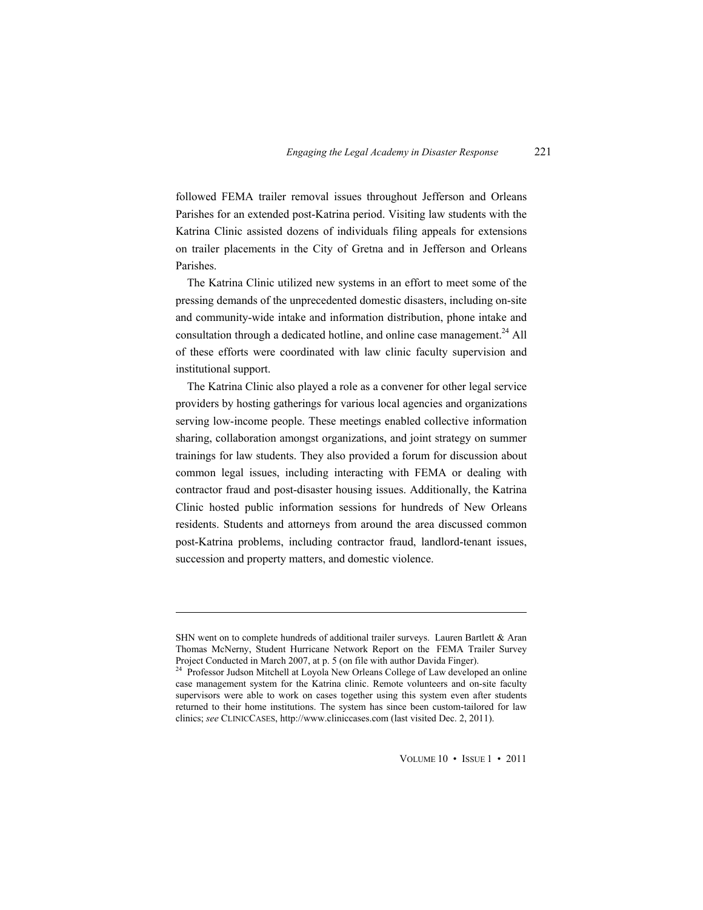followed FEMA trailer removal issues throughout Jefferson and Orleans Parishes for an extended post-Katrina period. Visiting law students with the Katrina Clinic assisted dozens of individuals filing appeals for extensions on trailer placements in the City of Gretna and in Jefferson and Orleans Parishes.

The Katrina Clinic utilized new systems in an effort to meet some of the pressing demands of the unprecedented domestic disasters, including on-site and community-wide intake and information distribution, phone intake and consultation through a dedicated hotline, and online case management.<sup>24</sup> All of these efforts were coordinated with law clinic faculty supervision and institutional support.

The Katrina Clinic also played a role as a convener for other legal service providers by hosting gatherings for various local agencies and organizations serving low-income people. These meetings enabled collective information sharing, collaboration amongst organizations, and joint strategy on summer trainings for law students. They also provided a forum for discussion about common legal issues, including interacting with FEMA or dealing with contractor fraud and post-disaster housing issues. Additionally, the Katrina Clinic hosted public information sessions for hundreds of New Orleans residents. Students and attorneys from around the area discussed common post-Katrina problems, including contractor fraud, landlord-tenant issues, succession and property matters, and domestic violence.

 $\overline{a}$ 

SHN went on to complete hundreds of additional trailer surveys. Lauren Bartlett & Aran Thomas McNerny, Student Hurricane Network Report on the FEMA Trailer Survey

Project Conducted in March 2007, at p. 5 (on file with author Davida Finger).<br><sup>24</sup> Professor Judson Mitchell at Loyola New Orleans College of Law developed an online case management system for the Katrina clinic. Remote volunteers and on-site faculty supervisors were able to work on cases together using this system even after students returned to their home institutions. The system has since been custom-tailored for law clinics; *see* CLINICCASES, http://www.cliniccases.com (last visited Dec. 2, 2011).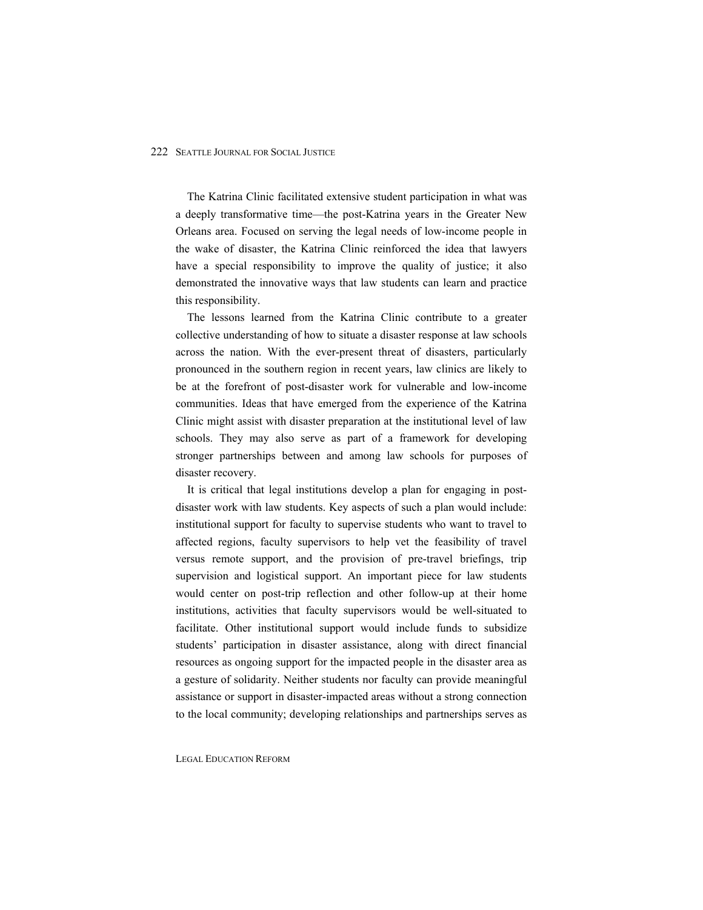The Katrina Clinic facilitated extensive student participation in what was a deeply transformative time—the post-Katrina years in the Greater New Orleans area. Focused on serving the legal needs of low-income people in the wake of disaster, the Katrina Clinic reinforced the idea that lawyers have a special responsibility to improve the quality of justice; it also demonstrated the innovative ways that law students can learn and practice this responsibility.

The lessons learned from the Katrina Clinic contribute to a greater collective understanding of how to situate a disaster response at law schools across the nation. With the ever-present threat of disasters, particularly pronounced in the southern region in recent years, law clinics are likely to be at the forefront of post-disaster work for vulnerable and low-income communities. Ideas that have emerged from the experience of the Katrina Clinic might assist with disaster preparation at the institutional level of law schools. They may also serve as part of a framework for developing stronger partnerships between and among law schools for purposes of disaster recovery.

It is critical that legal institutions develop a plan for engaging in postdisaster work with law students. Key aspects of such a plan would include: institutional support for faculty to supervise students who want to travel to affected regions, faculty supervisors to help vet the feasibility of travel versus remote support, and the provision of pre-travel briefings, trip supervision and logistical support. An important piece for law students would center on post-trip reflection and other follow-up at their home institutions, activities that faculty supervisors would be well-situated to facilitate. Other institutional support would include funds to subsidize students' participation in disaster assistance, along with direct financial resources as ongoing support for the impacted people in the disaster area as a gesture of solidarity. Neither students nor faculty can provide meaningful assistance or support in disaster-impacted areas without a strong connection to the local community; developing relationships and partnerships serves as

LEGAL EDUCATION REFORM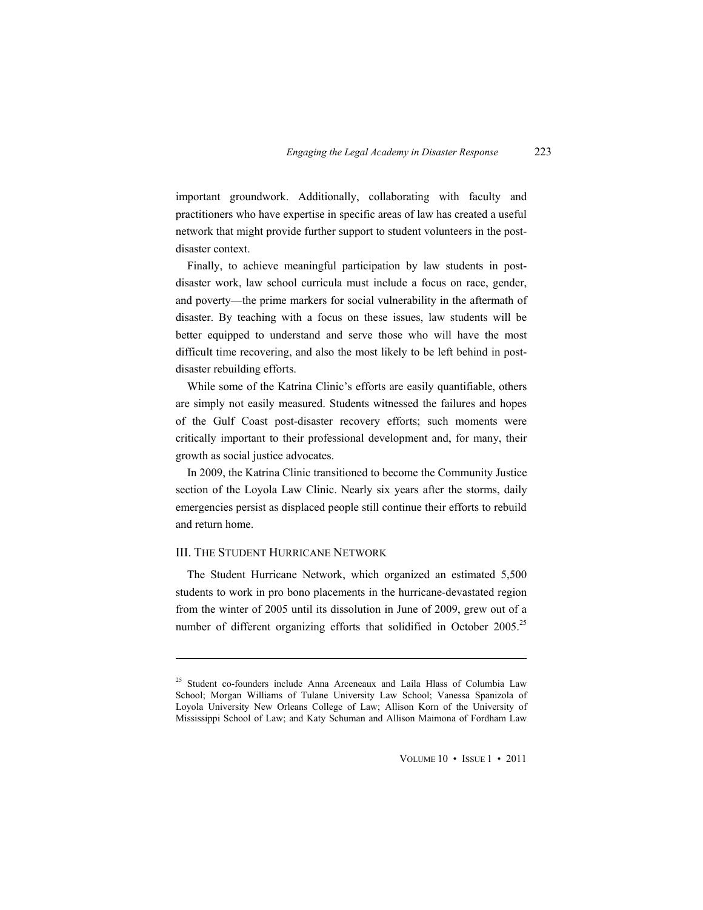important groundwork. Additionally, collaborating with faculty and practitioners who have expertise in specific areas of law has created a useful network that might provide further support to student volunteers in the postdisaster context.

Finally, to achieve meaningful participation by law students in postdisaster work, law school curricula must include a focus on race, gender, and poverty—the prime markers for social vulnerability in the aftermath of disaster. By teaching with a focus on these issues, law students will be better equipped to understand and serve those who will have the most difficult time recovering, and also the most likely to be left behind in postdisaster rebuilding efforts.

While some of the Katrina Clinic's efforts are easily quantifiable, others are simply not easily measured. Students witnessed the failures and hopes of the Gulf Coast post-disaster recovery efforts; such moments were critically important to their professional development and, for many, their growth as social justice advocates.

In 2009, the Katrina Clinic transitioned to become the Community Justice section of the Loyola Law Clinic. Nearly six years after the storms, daily emergencies persist as displaced people still continue their efforts to rebuild and return home.

#### III. THE STUDENT HURRICANE NETWORK

 $\overline{a}$ 

The Student Hurricane Network, which organized an estimated 5,500 students to work in pro bono placements in the hurricane-devastated region from the winter of 2005 until its dissolution in June of 2009, grew out of a number of different organizing efforts that solidified in October 2005.<sup>25</sup>

<sup>&</sup>lt;sup>25</sup> Student co-founders include Anna Arceneaux and Laila Hlass of Columbia Law School; Morgan Williams of Tulane University Law School; Vanessa Spanizola of Loyola University New Orleans College of Law; Allison Korn of the University of Mississippi School of Law; and Katy Schuman and Allison Maimona of Fordham Law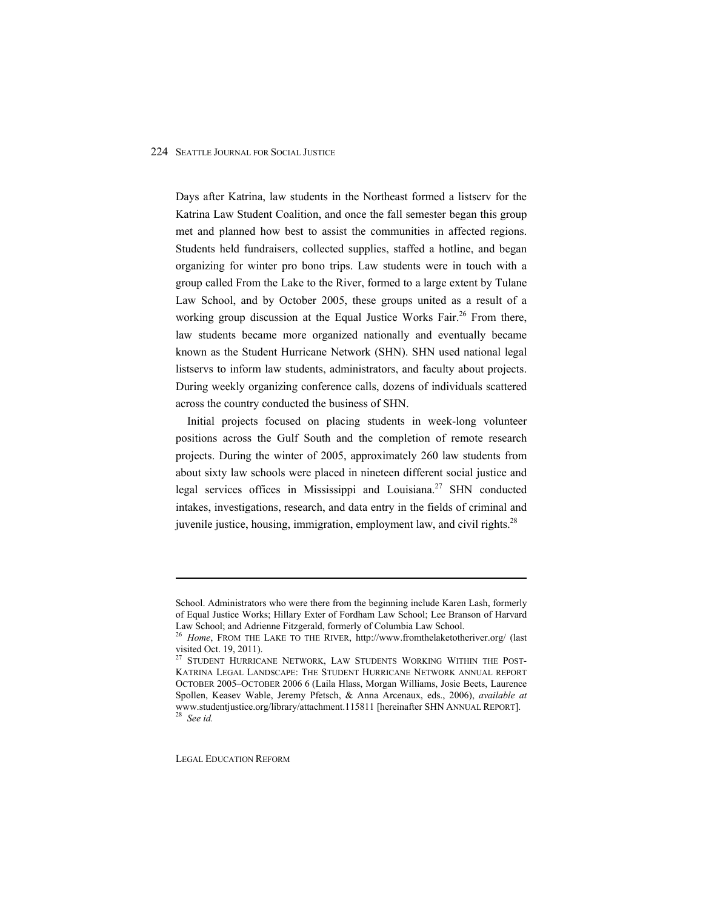Days after Katrina, law students in the Northeast formed a listserv for the Katrina Law Student Coalition, and once the fall semester began this group met and planned how best to assist the communities in affected regions. Students held fundraisers, collected supplies, staffed a hotline, and began organizing for winter pro bono trips. Law students were in touch with a group called From the Lake to the River, formed to a large extent by Tulane Law School, and by October 2005, these groups united as a result of a working group discussion at the Equal Justice Works Fair.<sup>26</sup> From there, law students became more organized nationally and eventually became known as the Student Hurricane Network (SHN). SHN used national legal listservs to inform law students, administrators, and faculty about projects. During weekly organizing conference calls, dozens of individuals scattered across the country conducted the business of SHN.

Initial projects focused on placing students in week-long volunteer positions across the Gulf South and the completion of remote research projects. During the winter of 2005, approximately 260 law students from about sixty law schools were placed in nineteen different social justice and legal services offices in Mississippi and Louisiana.<sup>27</sup> SHN conducted intakes, investigations, research, and data entry in the fields of criminal and juvenile justice, housing, immigration, employment law, and civil rights.<sup>28</sup>

LEGAL EDUCATION REFORM

School. Administrators who were there from the beginning include Karen Lash, formerly of Equal Justice Works; Hillary Exter of Fordham Law School; Lee Branson of Harvard Law School; and Adrienne Fitzgerald, formerly of Columbia Law School.<br><sup>26</sup> *Home*, FROM THE LAKE TO THE RIVER, http://www.fromthelaketotheriver.org/ (last

visited Oct. 19, 2011).

<sup>&</sup>lt;sup>27</sup> STUDENT HURRICANE NETWORK, LAW STUDENTS WORKING WITHIN THE POST-KATRINA LEGAL LANDSCAPE: THE STUDENT HURRICANE NETWORK ANNUAL REPORT OCTOBER 2005-OCTOBER 2006 6 (Laila Hlass, Morgan Williams, Josie Beets, Laurence Spollen, Keasev Wable, Jeremy Pfetsch, & Anna Arcenaux, eds., 2006), *available at* www.studentjustice.org/library/attachment.115811 [hereinafter SHN ANNUAL REPORT]. 28 *See id.*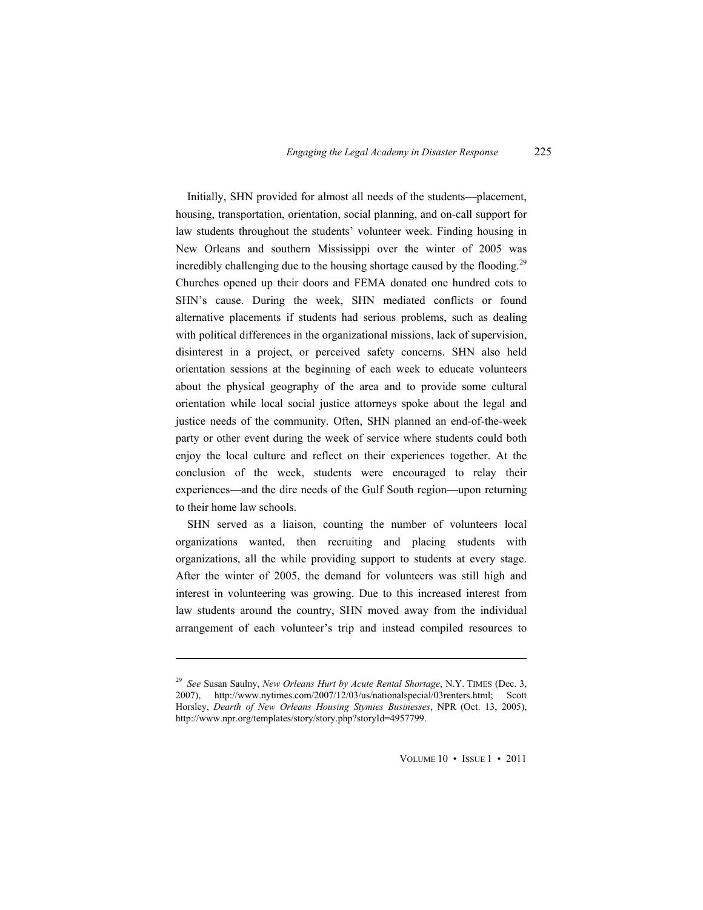Initially, SHN provided for almost all needs of the students—placement, housing, transportation, orientation, social planning, and on-call support for law students throughout the students' volunteer week. Finding housing in New Orleans and southern Mississippi over the winter of 2005 was incredibly challenging due to the housing shortage caused by the flooding.<sup>29</sup> Churches opened up their doors and FEMA donated one hundred cots to SHN's cause. During the week, SHN mediated conflicts or found alternative placements if students had serious problems, such as dealing with political differences in the organizational missions, lack of supervision, disinterest in a project, or perceived safety concerns. SHN also held orientation sessions at the beginning of each week to educate volunteers about the physical geography of the area and to provide some cultural orientation while local social justice attorneys spoke about the legal and justice needs of the community. Often, SHN planned an end-of-the-week party or other event during the week of service where students could both enjoy the local culture and reflect on their experiences together. At the conclusion of the week, students were encouraged to relay their experiences—and the dire needs of the Gulf South region—upon returning to their home law schools.

SHN served as a liaison, counting the number of volunteers local organizations wanted, then recruiting and placing students with organizations, all the while providing support to students at every stage. After the winter of 2005, the demand for volunteers was still high and interest in volunteering was growing. Due to this increased interest from law students around the country, SHN moved away from the individual arrangement of each volunteer's trip and instead compiled resources to

 $\overline{a}$ 

<sup>29</sup> *See* Susan Saulny, *New Orleans Hurt by Acute Rental Shortage*, N.Y. TIMES (Dec. 3, 2007), http://www.nytimes.com/2007/12/03/us/nationalspecial/03renters.html; Scott Horsley, *Dearth of New Orleans Housing Stymies Businesses*, NPR (Oct. 13, 2005), http://www.npr.org/templates/story/story.php?storyId=4957799.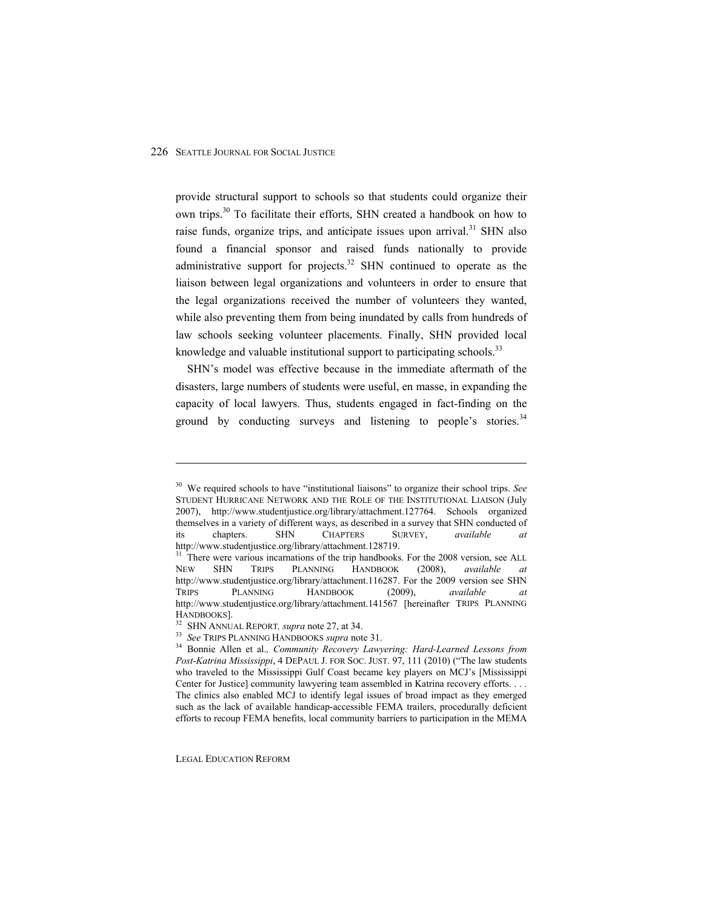provide structural support to schools so that students could organize their own trips.<sup>30</sup> To facilitate their efforts, SHN created a handbook on how to raise funds, organize trips, and anticipate issues upon arrival.<sup>31</sup> SHN also found a financial sponsor and raised funds nationally to provide administrative support for projects. $32$  SHN continued to operate as the liaison between legal organizations and volunteers in order to ensure that the legal organizations received the number of volunteers they wanted, while also preventing them from being inundated by calls from hundreds of law schools seeking volunteer placements. Finally, SHN provided local knowledge and valuable institutional support to participating schools.<sup>33</sup>

SHN's model was effective because in the immediate aftermath of the disasters, large numbers of students were useful, en masse, in expanding the capacity of local lawyers. Thus, students engaged in fact-finding on the ground by conducting surveys and listening to people's stories.<sup>34</sup>

LEGAL EDUCATION REFORM

<sup>&</sup>lt;sup>30</sup> We required schools to have "institutional liaisons" to organize their school trips. *See* STUDENT HURRICANE NETWORK AND THE ROLE OF THE INSTITUTIONAL LIAISON (July 2007), http://www.studentjustice.org/library/attachment.127764. Schools organized themselves in a variety of different ways, as described in a survey that SHN conducted of its chapters. SHN CHAPTERS SURVEY, *available at*

http://www.studentjustice.org/library/attachment.128719.<br><sup>31</sup> There were various incarnations of the trip handbooks. For the 2008 version, see ALL NEW SHN TRIPS PLANNING HANDBOOK (2008), *available at*  http://www.studentjustice.org/library/attachment.116287. For the 2009 version see SHN TRIPS PLANNING HANDBOOK (2009), *available at*  http://www.studentjustice.org/library/attachment.141567 [hereinafter TRIPS PLANNING<br>HANDBOOKS].

<sup>&</sup>lt;sup>32</sup> SHN ANNUAL REPORT, *supra* note 27, at 34.<br><sup>33</sup> See TRIPS PLANNING HANDBOOKS *supra* note 31.<br><sup>34</sup> Bonnie Allen et al., *Community Recovery Lawyering: Hard-Learned Lessons from Post-Katrina Mississippi*, 4 DEPAUL J. FOR SOC. JUST. 97, 111 (2010) ("The law students who traveled to the Mississippi Gulf Coast became key players on MCJ's [Mississippi] Center for Justice] community lawyering team assembled in Katrina recovery efforts. . . . The clinics also enabled MCJ to identify legal issues of broad impact as they emerged such as the lack of available handicap-accessible FEMA trailers, procedurally deficient efforts to recoup FEMA benefits, local community barriers to participation in the MEMA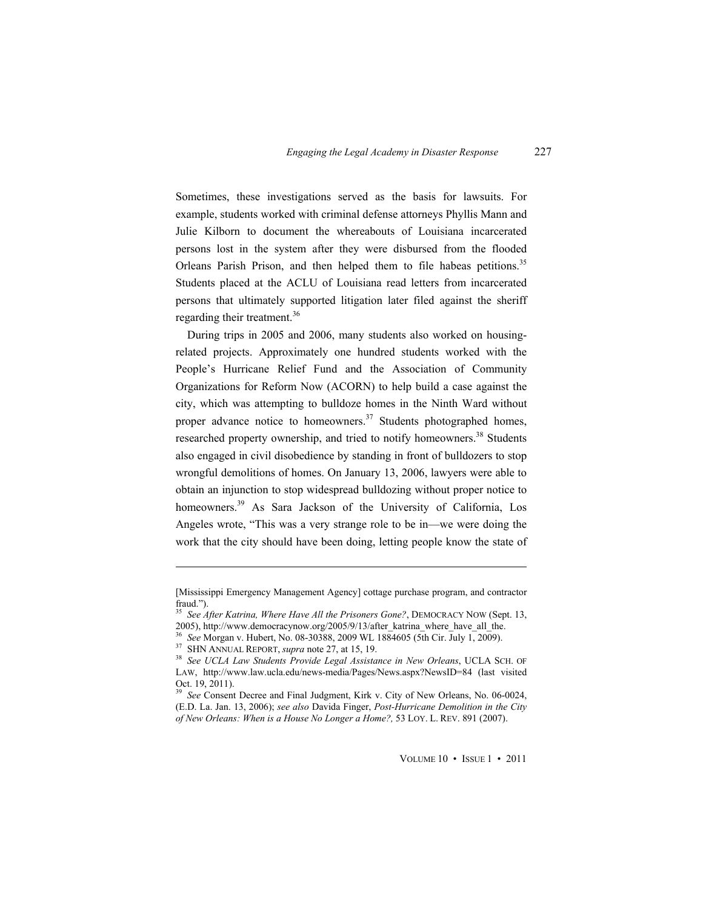Sometimes, these investigations served as the basis for lawsuits. For example, students worked with criminal defense attorneys Phyllis Mann and Julie Kilborn to document the whereabouts of Louisiana incarcerated persons lost in the system after they were disbursed from the flooded Orleans Parish Prison, and then helped them to file habeas petitions.<sup>35</sup> Students placed at the ACLU of Louisiana read letters from incarcerated persons that ultimately supported litigation later filed against the sheriff regarding their treatment.<sup>36</sup>

During trips in 2005 and 2006, many students also worked on housingrelated projects. Approximately one hundred students worked with the People's Hurricane Relief Fund and the Association of Community Organizations for Reform Now (ACORN) to help build a case against the city, which was attempting to bulldoze homes in the Ninth Ward without proper advance notice to homeowners.<sup>37</sup> Students photographed homes, researched property ownership, and tried to notify homeowners.<sup>38</sup> Students also engaged in civil disobedience by standing in front of bulldozers to stop wrongful demolitions of homes. On January 13, 2006, lawyers were able to obtain an injunction to stop widespread bulldozing without proper notice to homeowners.<sup>39</sup> As Sara Jackson of the University of California, Los Angeles wrote, "This was a very strange role to be in—we were doing the work that the city should have been doing, letting people know the state of

<sup>[</sup>Mississippi Emergency Management Agency] cottage purchase program, and contractor fraud. $^{\prime\prime}$ ).

<sup>&</sup>lt;sup>35</sup> See *After Katrina, Where Have All the Prisoners Gone?*, DEMOCRACY NOW (Sept. 13, 2005), http://www.democracynow.org/2005/9/13/after\_katrina\_where have all the.

<sup>&</sup>lt;sup>36</sup> See Morgan v. Hubert, No. 08-30388, 2009 WL 1884605 (5th Cir. July 1, 2009).<br><sup>37</sup> SHN ANNUAL REPORT, *supra* note 27, at 15, 19.<br><sup>38</sup> See UCLA Law Students Provide Legal Assistance in New Orleans, UCLA SCH. OF LAW, http://www.law.ucla.edu/news-media/Pages/News.aspx?NewsID=84 (last visited Oct. 19, 2011).

<sup>39</sup> *See* Consent Decree and Final Judgment, Kirk v. City of New Orleans, No. 06-0024, (E.D. La. Jan. 13, 2006); *see also* Davida Finger, *Post-Hurricane Demolition in the City of New Orleans: When is a House No Longer a Home?,* 53 LOY. L. REV. 891 (2007).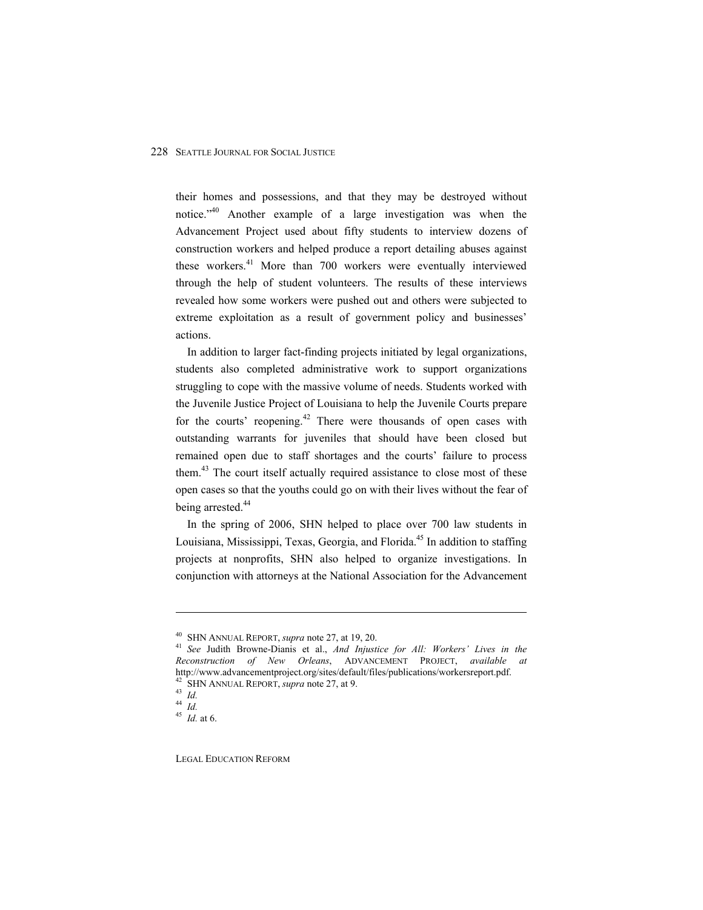their homes and possessions, and that they may be destroyed without notice.<sup> $n=40$ </sup> Another example of a large investigation was when the Advancement Project used about fifty students to interview dozens of construction workers and helped produce a report detailing abuses against these workers.<sup>41</sup> More than 700 workers were eventually interviewed through the help of student volunteers. The results of these interviews revealed how some workers were pushed out and others were subjected to extreme exploitation as a result of government policy and businesses' actions.

In addition to larger fact-finding projects initiated by legal organizations, students also completed administrative work to support organizations struggling to cope with the massive volume of needs. Students worked with the Juvenile Justice Project of Louisiana to help the Juvenile Courts prepare for the courts' reopening.<sup>42</sup> There were thousands of open cases with outstanding warrants for juveniles that should have been closed but remained open due to staff shortages and the courts' failure to process them.<sup>43</sup> The court itself actually required assistance to close most of these open cases so that the youths could go on with their lives without the fear of being arrested.<sup>44</sup>

In the spring of 2006, SHN helped to place over 700 law students in Louisiana, Mississippi, Texas, Georgia, and Florida.<sup>45</sup> In addition to staffing projects at nonprofits, SHN also helped to organize investigations. In conjunction with attorneys at the National Association for the Advancement

 $\overline{a}$ 

LEGAL EDUCATION REFORM

<sup>&</sup>lt;sup>40</sup> SHN ANNUAL REPORT, *supra* note 27, at 19, 20.<br><sup>41</sup> *See* Judith Browne-Dianis et al., *And Injustice for All: Workers' Lives in the Reconstruction of New Orleans*, ADVANCEMENT PROJECT, *available at* http://www.advancementproject.org/sites/default/files/publications/workersreport.pdf.<br><sup>42</sup> SHN ANNUAL REPORT, *supra* note 27, at 9.<br><sup>43</sup> Id.

<sup>44</sup> *Id.*

<sup>45</sup> *Id.* at 6.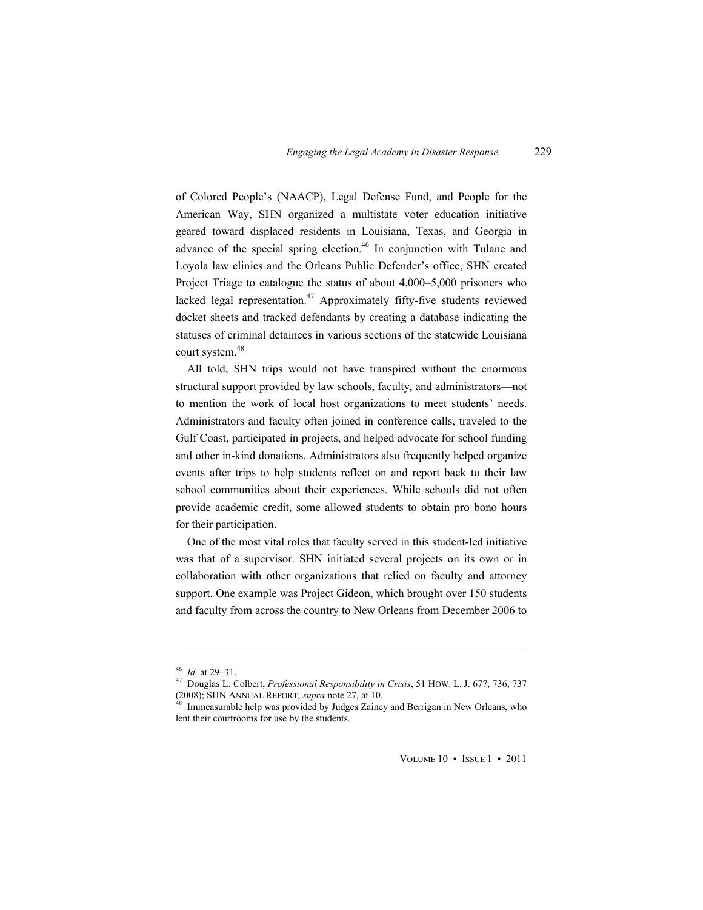of Colored People's (NAACP), Legal Defense Fund, and People for the American Way, SHN organized a multistate voter education initiative geared toward displaced residents in Louisiana, Texas, and Georgia in advance of the special spring election.<sup>46</sup> In conjunction with Tulane and Loyola law clinics and the Orleans Public Defender's office, SHN created Project Triage to catalogue the status of about  $4,000-5,000$  prisoners who lacked legal representation.<sup>47</sup> Approximately fifty-five students reviewed docket sheets and tracked defendants by creating a database indicating the statuses of criminal detainees in various sections of the statewide Louisiana court system.<sup>48</sup>

All told, SHN trips would not have transpired without the enormous structural support provided by law schools, faculty, and administrators—not to mention the work of local host organizations to meet students' needs. Administrators and faculty often joined in conference calls, traveled to the Gulf Coast, participated in projects, and helped advocate for school funding and other in-kind donations. Administrators also frequently helped organize events after trips to help students reflect on and report back to their law school communities about their experiences. While schools did not often provide academic credit, some allowed students to obtain pro bono hours for their participation.

One of the most vital roles that faculty served in this student-led initiative was that of a supervisor. SHN initiated several projects on its own or in collaboration with other organizations that relied on faculty and attorney support. One example was Project Gideon, which brought over 150 students and faculty from across the country to New Orleans from December 2006 to

 $\overline{a}$ 

<sup>&</sup>lt;sup>46</sup> *Id.* at 29–31.<br><sup>47</sup> Douglas L. Colbert, *Professional Responsibility in Crisis*, 51 HOW. L. J. 677, 736, 737 (2008); SHN ANNUAL REPORT, *supra* note 27, at 10.<br><sup>48</sup> Immeasurable help was provided by Judges Zainey and Berrigan in New Orleans, who

lent their courtrooms for use by the students.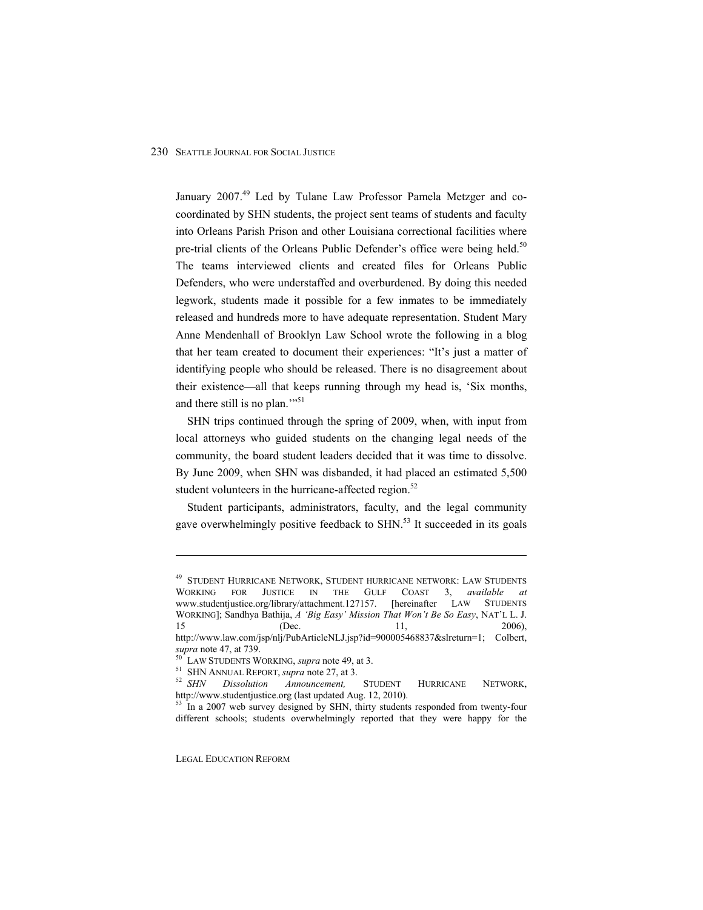January 2007.<sup>49</sup> Led by Tulane Law Professor Pamela Metzger and cocoordinated by SHN students, the project sent teams of students and faculty into Orleans Parish Prison and other Louisiana correctional facilities where pre-trial clients of the Orleans Public Defender's office were being held.<sup>50</sup> The teams interviewed clients and created files for Orleans Public Defenders, who were understaffed and overburdened. By doing this needed legwork, students made it possible for a few inmates to be immediately released and hundreds more to have adequate representation. Student Mary Anne Mendenhall of Brooklyn Law School wrote the following in a blog that her team created to document their experiences: "It's just a matter of identifying people who should be released. There is no disagreement about their existence—all that keeps running through my head is, 'Six months, and there still is no plan."<sup>51</sup>

SHN trips continued through the spring of 2009, when, with input from local attorneys who guided students on the changing legal needs of the community, the board student leaders decided that it was time to dissolve. By June 2009, when SHN was disbanded, it had placed an estimated 5,500 student volunteers in the hurricane-affected region. $52$ 

Student participants, administrators, faculty, and the legal community gave overwhelmingly positive feedback to SHN.<sup>53</sup> It succeeded in its goals

LEGAL EDUCATION REFORM

<sup>&</sup>lt;sup>49</sup> STUDENT HURRICANE NETWORK, STUDENT HURRICANE NETWORK: LAW STUDENTS WORKING FOR JUSTICE IN THE GULF COAST 3, *available at* www.studentjustice.org/library/attachment.127157. [hereinafter LAW STUDENTS WORKING]; Sandhya Bathija, A 'Big Easy' Mission That Won't Be So Easy, NAT'L L. J. 15 (Dec. 11, 2006), http://www.law.com/jsp/nlj/PubArticleNLJ.jsp?id=900005468837&slreturn=1; Colbert,

*supra* note 47, at 739.<br><sup>50</sup> LAW STUDENTS WORKING, *supra* note 49, at 3.<br><sup>51</sup> SHN ANNUAL REPORT, *supra* note 27, at 3.<br><sup>52</sup> SHN Dissolution Announcement, STUDENT HURRICANE NETWORK, http://www.studentjustice.org (last updated Aug. 12, 2010).

<sup>&</sup>lt;sup>53</sup> In a 2007 web survey designed by SHN, thirty students responded from twenty-four different schools; students overwhelmingly reported that they were happy for the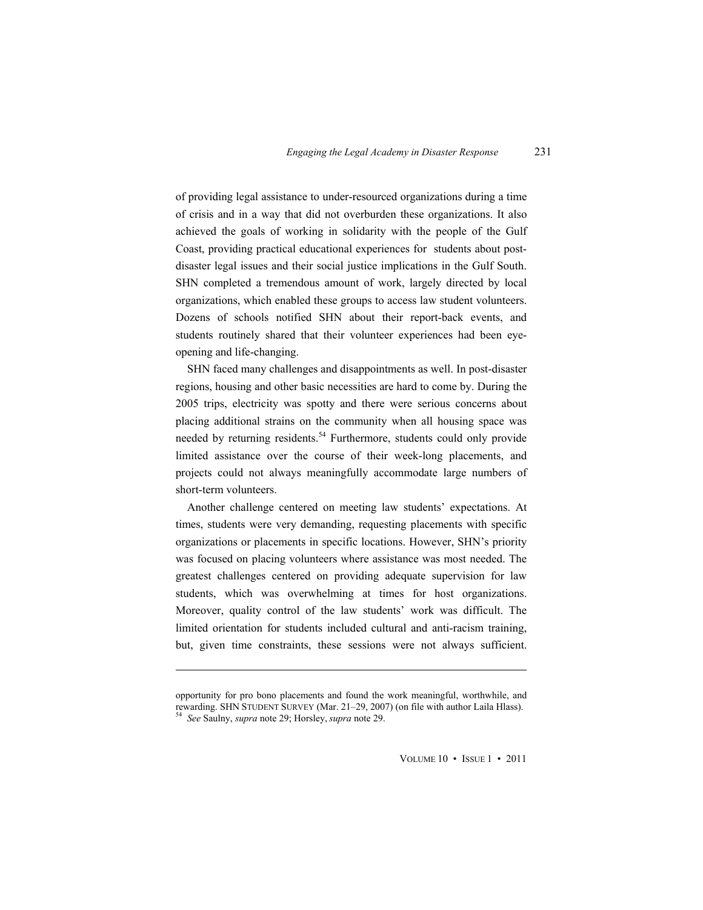of providing legal assistance to under-resourced organizations during a time of crisis and in a way that did not overburden these organizations. It also achieved the goals of working in solidarity with the people of the Gulf Coast, providing practical educational experiences for students about postdisaster legal issues and their social justice implications in the Gulf South. SHN completed a tremendous amount of work, largely directed by local organizations, which enabled these groups to access law student volunteers. Dozens of schools notified SHN about their report-back events, and students routinely shared that their volunteer experiences had been eyeopening and life-changing.

SHN faced many challenges and disappointments as well. In post-disaster regions, housing and other basic necessities are hard to come by. During the 2005 trips, electricity was spotty and there were serious concerns about placing additional strains on the community when all housing space was needed by returning residents.<sup>54</sup> Furthermore, students could only provide limited assistance over the course of their week-long placements, and projects could not always meaningfully accommodate large numbers of short-term volunteers.

Another challenge centered on meeting law students' expectations. At times, students were very demanding, requesting placements with specific organizations or placements in specific locations. However, SHN's priority was focused on placing volunteers where assistance was most needed. The greatest challenges centered on providing adequate supervision for law students, which was overwhelming at times for host organizations. Moreover, quality control of the law students' work was difficult. The limited orientation for students included cultural and anti-racism training, but, given time constraints, these sessions were not always sufficient.

opportunity for pro bono placements and found the work meaningful, worthwhile, and rewarding. SHN STUDENT SURVEY (Mar. 21m29, 2007) (on file with author Laila Hlass). 54 *See* Saulny, *supra* note 29; Horsley, *supra* note 29.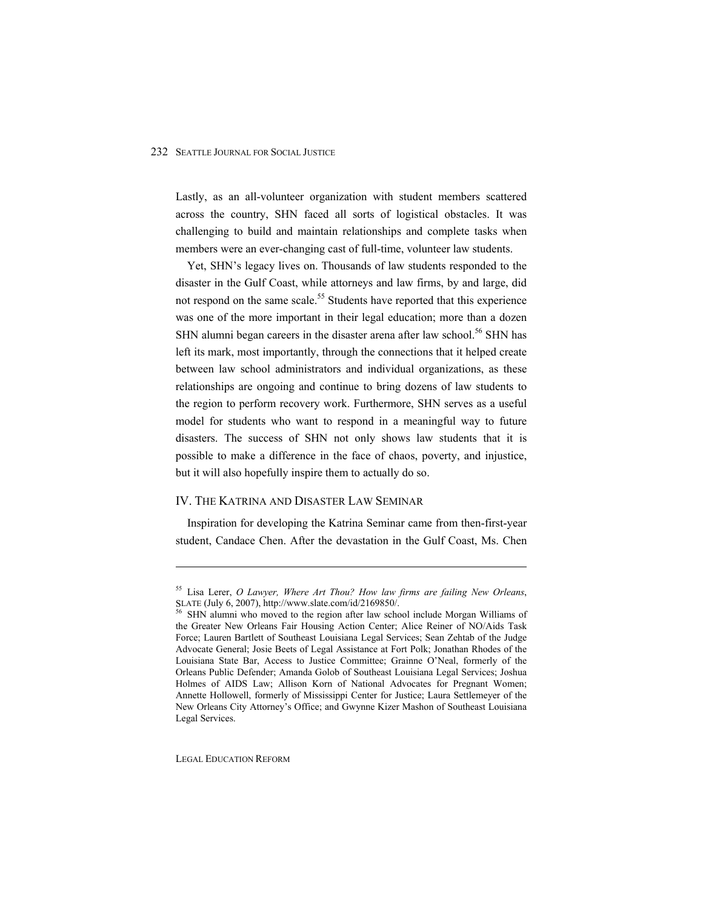Lastly, as an all-volunteer organization with student members scattered across the country, SHN faced all sorts of logistical obstacles. It was challenging to build and maintain relationships and complete tasks when members were an ever-changing cast of full-time, volunteer law students.

Yet, SHN's legacy lives on. Thousands of law students responded to the disaster in the Gulf Coast, while attorneys and law firms, by and large, did not respond on the same scale.<sup>55</sup> Students have reported that this experience was one of the more important in their legal education; more than a dozen SHN alumni began careers in the disaster arena after law school.<sup>56</sup> SHN has left its mark, most importantly, through the connections that it helped create between law school administrators and individual organizations, as these relationships are ongoing and continue to bring dozens of law students to the region to perform recovery work. Furthermore, SHN serves as a useful model for students who want to respond in a meaningful way to future disasters. The success of SHN not only shows law students that it is possible to make a difference in the face of chaos, poverty, and injustice, but it will also hopefully inspire them to actually do so.

#### IV. THE KATRINA AND DISASTER LAW SEMINAR

Inspiration for developing the Katrina Seminar came from then-first-year student, Candace Chen. After the devastation in the Gulf Coast, Ms. Chen

LEGAL EDUCATION REFORM

<sup>55</sup> Lisa Lerer, *O Lawyer, Where Art Thou? How law firms are failing New Orleans*, SLATE (July 6, 2007), http://www.slate.com/id/2169850/.<br><sup>56</sup> SHN alumni who moved to the region after law school include Morgan Williams of

the Greater New Orleans Fair Housing Action Center; Alice Reiner of NO/Aids Task Force; Lauren Bartlett of Southeast Louisiana Legal Services; Sean Zehtab of the Judge Advocate General; Josie Beets of Legal Assistance at Fort Polk; Jonathan Rhodes of the Louisiana State Bar, Access to Justice Committee; Grainne O'Neal, formerly of the Orleans Public Defender; Amanda Golob of Southeast Louisiana Legal Services; Joshua Holmes of AIDS Law; Allison Korn of National Advocates for Pregnant Women; Annette Hollowell, formerly of Mississippi Center for Justice; Laura Settlemeyer of the New Orleans City Attorney's Office; and Gwynne Kizer Mashon of Southeast Louisiana Legal Services.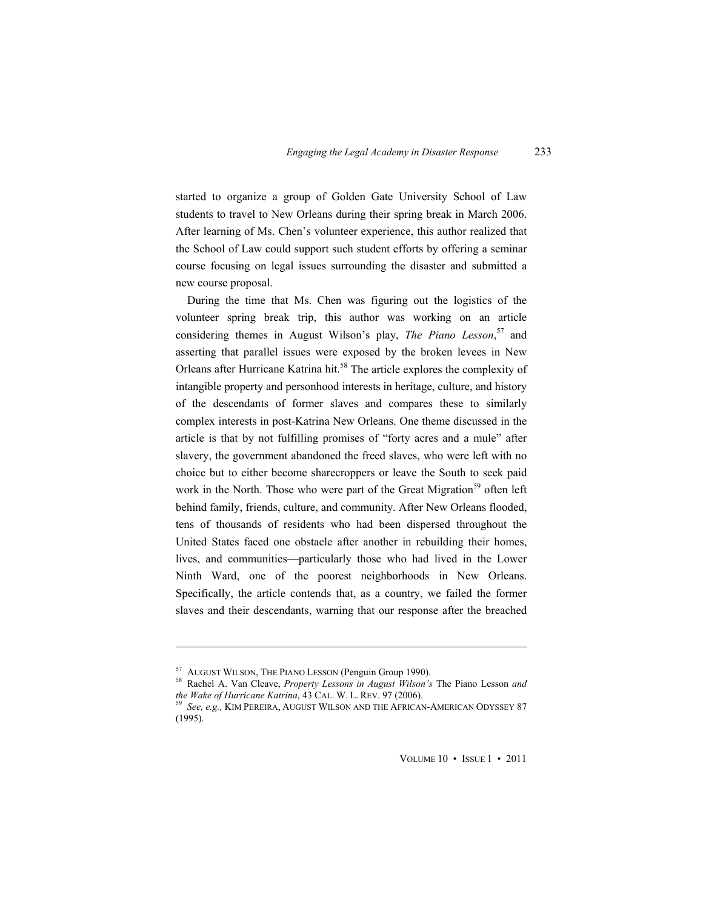started to organize a group of Golden Gate University School of Law students to travel to New Orleans during their spring break in March 2006. After learning of Ms. Chen's volunteer experience, this author realized that the School of Law could support such student efforts by offering a seminar course focusing on legal issues surrounding the disaster and submitted a new course proposal.

During the time that Ms. Chen was figuring out the logistics of the volunteer spring break trip, this author was working on an article considering themes in August Wilson's play, *The Piano Lesson*,<sup>57</sup> and asserting that parallel issues were exposed by the broken levees in New Orleans after Hurricane Katrina hit.<sup>58</sup> The article explores the complexity of intangible property and personhood interests in heritage, culture, and history of the descendants of former slaves and compares these to similarly complex interests in post-Katrina New Orleans. One theme discussed in the article is that by not fulfilling promises of "forty acres and a mule" after slavery, the government abandoned the freed slaves, who were left with no choice but to either become sharecroppers or leave the South to seek paid work in the North. Those who were part of the Great Migration<sup>59</sup> often left behind family, friends, culture, and community. After New Orleans flooded, tens of thousands of residents who had been dispersed throughout the United States faced one obstacle after another in rebuilding their homes, lives, and communities—particularly those who had lived in the Lower Ninth Ward, one of the poorest neighborhoods in New Orleans. Specifically, the article contends that, as a country, we failed the former slaves and their descendants, warning that our response after the breached

 $\overline{a}$ 

<sup>&</sup>lt;sup>57</sup> AUGUST WILSON, THE PIANO LESSON (Penguin Group 1990).<br><sup>58</sup> Rachel A. Van Cleave, *Property Lessons in August Wilson's* The Piano Lesson *and the Wake of Hurricane Katrina*, 43 CAL. W. L. REV. 97 (2006).

<sup>&</sup>lt;sup>59</sup> See, e.g., KIM PEREIRA, AUGUST WILSON AND THE AFRICAN-AMERICAN ODYSSEY 87 (1995).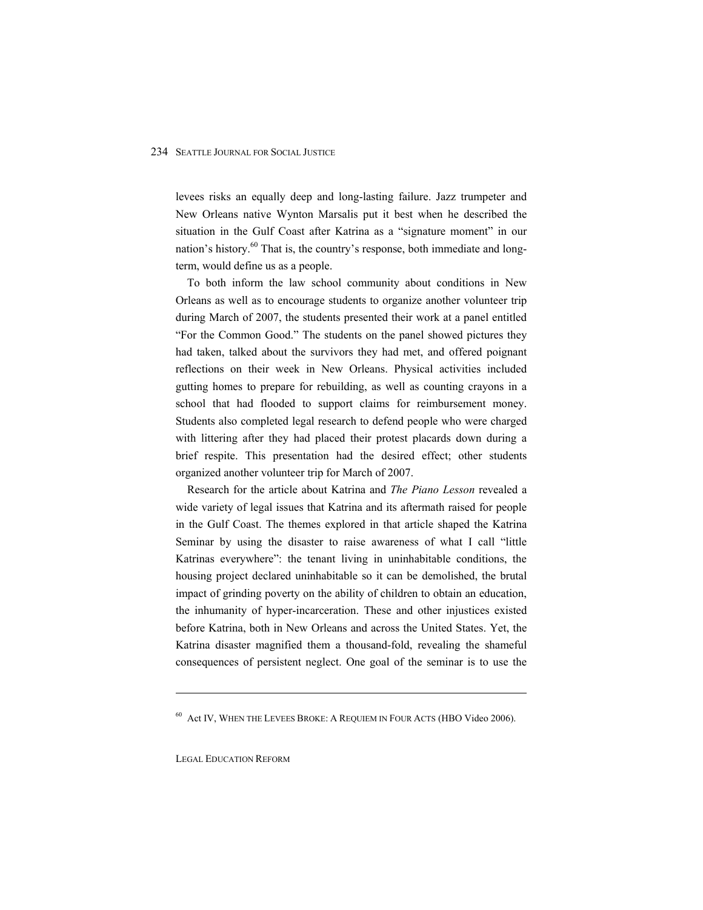levees risks an equally deep and long-lasting failure. Jazz trumpeter and New Orleans native Wynton Marsalis put it best when he described the situation in the Gulf Coast after Katrina as a "signature moment" in our nation's history. $60$  That is, the country's response, both immediate and longterm, would define us as a people.

To both inform the law school community about conditions in New Orleans as well as to encourage students to organize another volunteer trip during March of 2007, the students presented their work at a panel entitled "For the Common Good." The students on the panel showed pictures they had taken, talked about the survivors they had met, and offered poignant reflections on their week in New Orleans. Physical activities included gutting homes to prepare for rebuilding, as well as counting crayons in a school that had flooded to support claims for reimbursement money. Students also completed legal research to defend people who were charged with littering after they had placed their protest placards down during a brief respite. This presentation had the desired effect; other students organized another volunteer trip for March of 2007.

Research for the article about Katrina and *The Piano Lesson* revealed a wide variety of legal issues that Katrina and its aftermath raised for people in the Gulf Coast. The themes explored in that article shaped the Katrina Seminar by using the disaster to raise awareness of what I call "little" Katrinas everywhere": the tenant living in uninhabitable conditions, the housing project declared uninhabitable so it can be demolished, the brutal impact of grinding poverty on the ability of children to obtain an education, the inhumanity of hyper-incarceration. These and other injustices existed before Katrina, both in New Orleans and across the United States. Yet, the Katrina disaster magnified them a thousand-fold, revealing the shameful consequences of persistent neglect. One goal of the seminar is to use the

LEGAL EDUCATION REFORM

<sup>60</sup> Act IV, WHEN THE LEVEES BROKE: A REQUIEM IN FOUR ACTS (HBO Video 2006).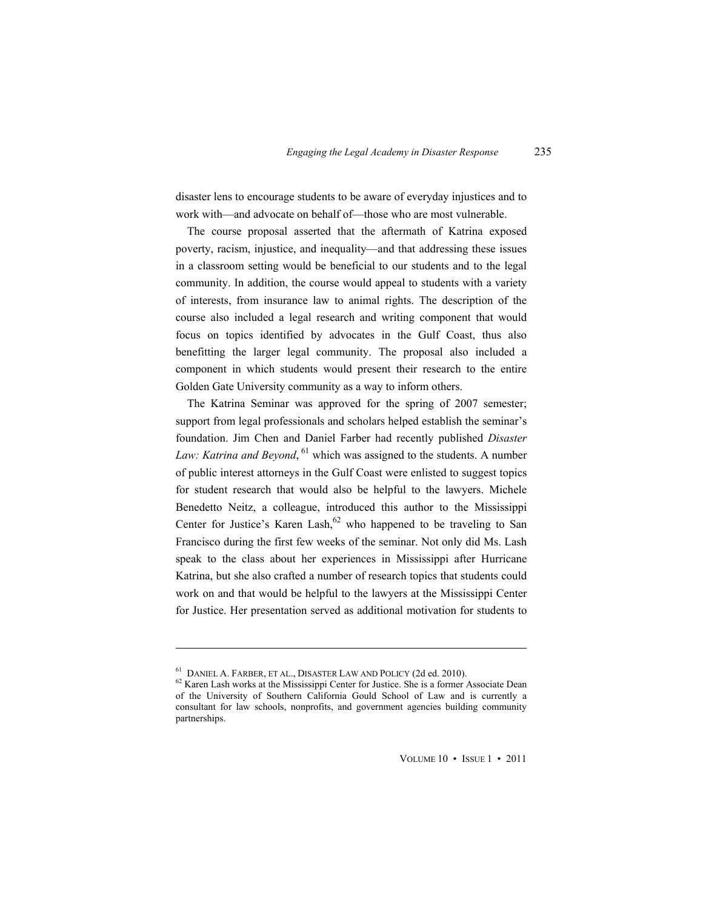disaster lens to encourage students to be aware of everyday injustices and to work with—and advocate on behalf of—those who are most vulnerable.

The course proposal asserted that the aftermath of Katrina exposed poverty, racism, injustice, and inequality[and that addressing these issues in a classroom setting would be beneficial to our students and to the legal community. In addition, the course would appeal to students with a variety of interests, from insurance law to animal rights. The description of the course also included a legal research and writing component that would focus on topics identified by advocates in the Gulf Coast, thus also benefitting the larger legal community. The proposal also included a component in which students would present their research to the entire Golden Gate University community as a way to inform others.

The Katrina Seminar was approved for the spring of 2007 semester; support from legal professionals and scholars helped establish the seminar's foundation. Jim Chen and Daniel Farber had recently published *Disaster*  Law: Katrina and Beyond, <sup>61</sup> which was assigned to the students. A number of public interest attorneys in the Gulf Coast were enlisted to suggest topics for student research that would also be helpful to the lawyers. Michele Benedetto Neitz, a colleague, introduced this author to the Mississippi Center for Justice's Karen Lash,  $62$  who happened to be traveling to San Francisco during the first few weeks of the seminar. Not only did Ms. Lash speak to the class about her experiences in Mississippi after Hurricane Katrina, but she also crafted a number of research topics that students could work on and that would be helpful to the lawyers at the Mississippi Center for Justice. Her presentation served as additional motivation for students to

 $\overline{a}$ 

 $^{61}$  DANIEL A. FARBER, ET AL., DISASTER LAW AND POLICY (2d ed. 2010).<br> $^{62}$  Karen Lash works at the Mississippi Center for Justice. She is a former Associate Dean of the University of Southern California Gould School of Law and is currently a consultant for law schools, nonprofits, and government agencies building community partnerships.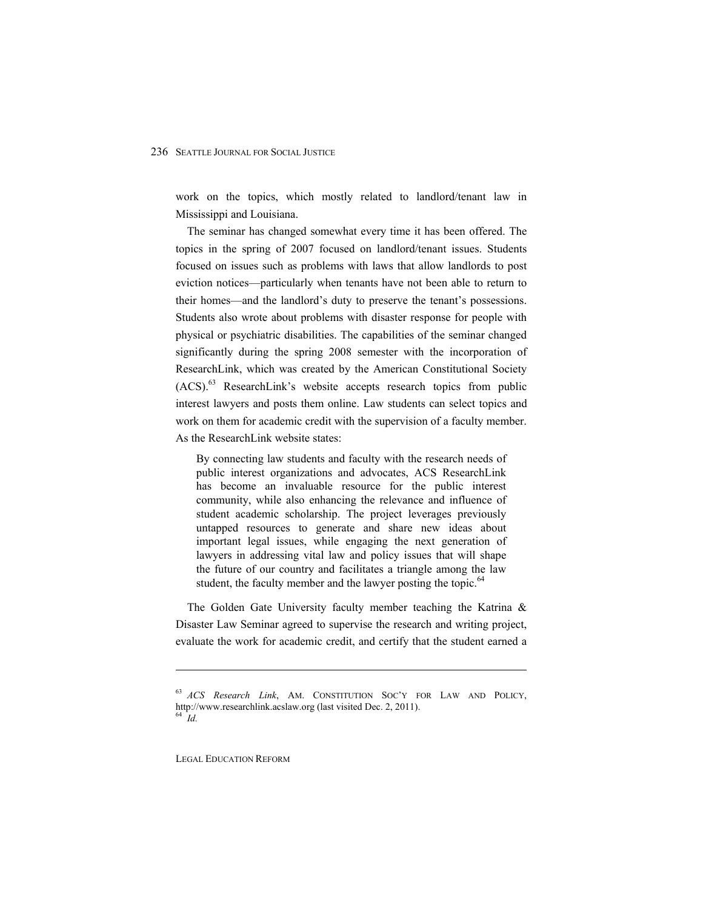work on the topics, which mostly related to landlord/tenant law in Mississippi and Louisiana.

The seminar has changed somewhat every time it has been offered. The topics in the spring of 2007 focused on landlord/tenant issues. Students focused on issues such as problems with laws that allow landlords to post eviction notices—particularly when tenants have not been able to return to their homes—and the landlord's duty to preserve the tenant's possessions. Students also wrote about problems with disaster response for people with physical or psychiatric disabilities. The capabilities of the seminar changed significantly during the spring 2008 semester with the incorporation of ResearchLink, which was created by the American Constitutional Society  $(ACS)^{63}$  ResearchLink's website accepts research topics from public interest lawyers and posts them online. Law students can select topics and work on them for academic credit with the supervision of a faculty member. As the ResearchLink website states:

By connecting law students and faculty with the research needs of public interest organizations and advocates, ACS ResearchLink has become an invaluable resource for the public interest community, while also enhancing the relevance and influence of student academic scholarship. The project leverages previously untapped resources to generate and share new ideas about important legal issues, while engaging the next generation of lawyers in addressing vital law and policy issues that will shape the future of our country and facilitates a triangle among the law student, the faculty member and the lawyer posting the topic.<sup>64</sup>

The Golden Gate University faculty member teaching the Katrina & Disaster Law Seminar agreed to supervise the research and writing project, evaluate the work for academic credit, and certify that the student earned a

LEGAL EDUCATION REFORM

<sup>63</sup> ACS Research Link, AM. CONSTITUTION SOC'Y FOR LAW AND POLICY, http://www.researchlink.acslaw.org (last visited Dec. 2, 2011). <sup>64</sup> *Id.*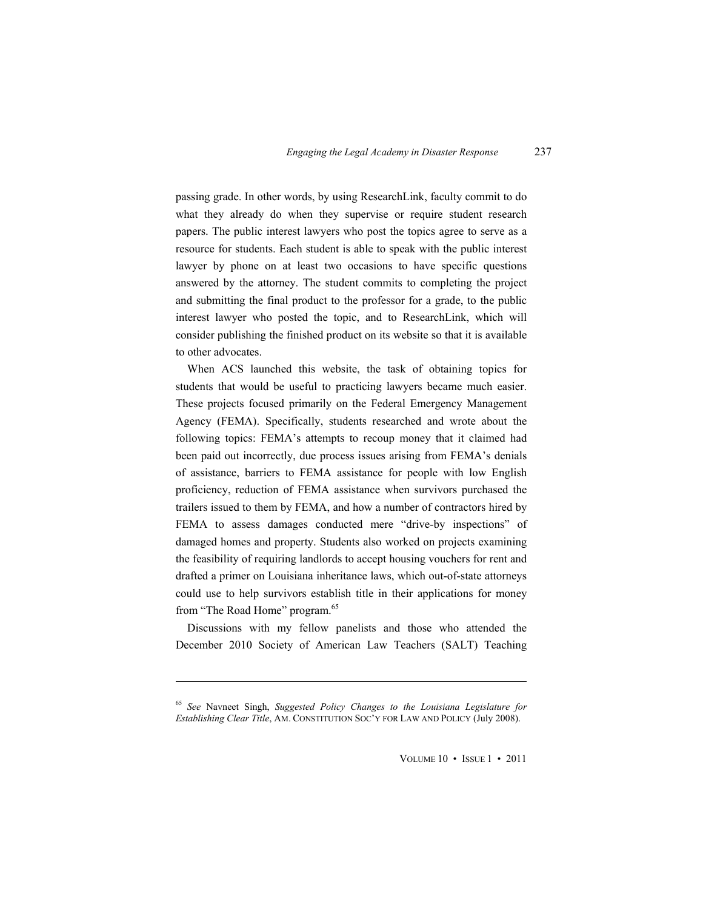passing grade. In other words, by using ResearchLink, faculty commit to do what they already do when they supervise or require student research papers. The public interest lawyers who post the topics agree to serve as a resource for students. Each student is able to speak with the public interest lawyer by phone on at least two occasions to have specific questions answered by the attorney. The student commits to completing the project and submitting the final product to the professor for a grade, to the public interest lawyer who posted the topic, and to ResearchLink, which will consider publishing the finished product on its website so that it is available to other advocates.

When ACS launched this website, the task of obtaining topics for students that would be useful to practicing lawyers became much easier. These projects focused primarily on the Federal Emergency Management Agency (FEMA). Specifically, students researched and wrote about the following topics: FEMA's attempts to recoup money that it claimed had been paid out incorrectly, due process issues arising from FEMA's denials of assistance, barriers to FEMA assistance for people with low English proficiency, reduction of FEMA assistance when survivors purchased the trailers issued to them by FEMA, and how a number of contractors hired by FEMA to assess damages conducted mere "drive-by inspections" of damaged homes and property. Students also worked on projects examining the feasibility of requiring landlords to accept housing vouchers for rent and drafted a primer on Louisiana inheritance laws, which out-of-state attorneys could use to help survivors establish title in their applications for money from "The Road Home" program.<sup>65</sup>

Discussions with my fellow panelists and those who attended the December 2010 Society of American Law Teachers (SALT) Teaching

 $\overline{a}$ 

<sup>65</sup> *See* Navneet Singh, *Suggested Policy Changes to the Louisiana Legislature for Establishing Clear Title, AM. CONSTITUTION SOC'Y FOR LAW AND POLICY (July 2008).*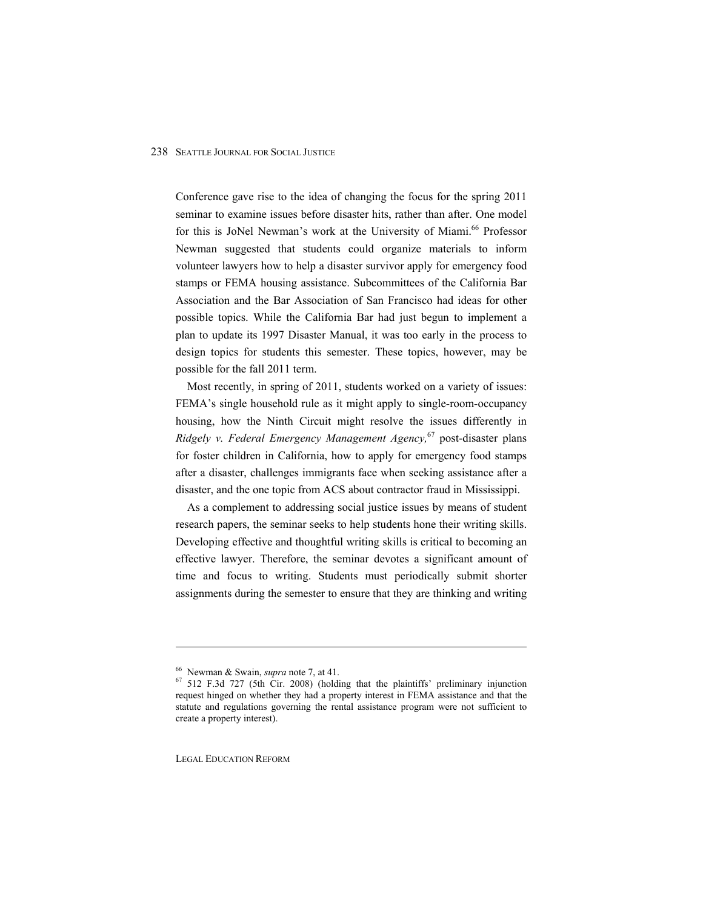Conference gave rise to the idea of changing the focus for the spring 2011 seminar to examine issues before disaster hits, rather than after. One model for this is JoNel Newman's work at the University of Miami.<sup>66</sup> Professor Newman suggested that students could organize materials to inform volunteer lawyers how to help a disaster survivor apply for emergency food stamps or FEMA housing assistance. Subcommittees of the California Bar Association and the Bar Association of San Francisco had ideas for other possible topics. While the California Bar had just begun to implement a plan to update its 1997 Disaster Manual, it was too early in the process to design topics for students this semester. These topics, however, may be possible for the fall 2011 term.

Most recently, in spring of 2011, students worked on a variety of issues: FEMA's single household rule as it might apply to single-room-occupancy housing, how the Ninth Circuit might resolve the issues differently in *Ridgely v. Federal Emergency Management Agency,*67 post-disaster plans for foster children in California, how to apply for emergency food stamps after a disaster, challenges immigrants face when seeking assistance after a disaster, and the one topic from ACS about contractor fraud in Mississippi.

As a complement to addressing social justice issues by means of student research papers, the seminar seeks to help students hone their writing skills. Developing effective and thoughtful writing skills is critical to becoming an effective lawyer. Therefore, the seminar devotes a significant amount of time and focus to writing. Students must periodically submit shorter assignments during the semester to ensure that they are thinking and writing

LEGAL EDUCATION REFORM

<sup>&</sup>lt;sup>66</sup> Newman & Swain, *supra* note 7, at 41.<br><sup>67</sup> 512 F.3d 727 (5th Cir. 2008) (holding that the plaintiffs' preliminary injunction request hinged on whether they had a property interest in FEMA assistance and that the statute and regulations governing the rental assistance program were not sufficient to create a property interest).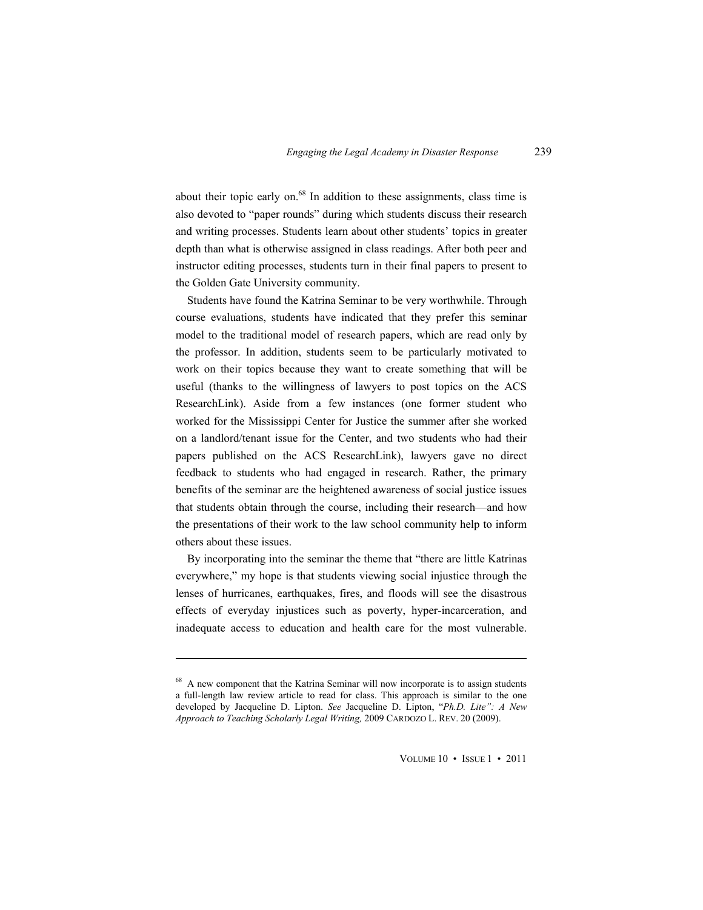about their topic early on. $68$  In addition to these assignments, class time is also devoted to "paper rounds" during which students discuss their research and writing processes. Students learn about other students' topics in greater depth than what is otherwise assigned in class readings. After both peer and instructor editing processes, students turn in their final papers to present to the Golden Gate University community.

Students have found the Katrina Seminar to be very worthwhile. Through course evaluations, students have indicated that they prefer this seminar model to the traditional model of research papers, which are read only by the professor. In addition, students seem to be particularly motivated to work on their topics because they want to create something that will be useful (thanks to the willingness of lawyers to post topics on the ACS ResearchLink). Aside from a few instances (one former student who worked for the Mississippi Center for Justice the summer after she worked on a landlord/tenant issue for the Center, and two students who had their papers published on the ACS ResearchLink), lawyers gave no direct feedback to students who had engaged in research. Rather, the primary benefits of the seminar are the heightened awareness of social justice issues that students obtain through the course, including their research—and how the presentations of their work to the law school community help to inform others about these issues.

By incorporating into the seminar the theme that "there are little Katrinas" everywhere," my hope is that students viewing social injustice through the lenses of hurricanes, earthquakes, fires, and floods will see the disastrous effects of everyday injustices such as poverty, hyper-incarceration, and inadequate access to education and health care for the most vulnerable.

 $\overline{a}$ 

<sup>&</sup>lt;sup>68</sup> A new component that the Katrina Seminar will now incorporate is to assign students a full-length law review article to read for class. This approach is similar to the one developed by Jacqueline D. Lipton. *See* Jacqueline D. Lipton, "Ph.D. Lite": A New *Approach to Teaching Scholarly Legal Writing,* 2009 CARDOZO L. REV. 20 (2009).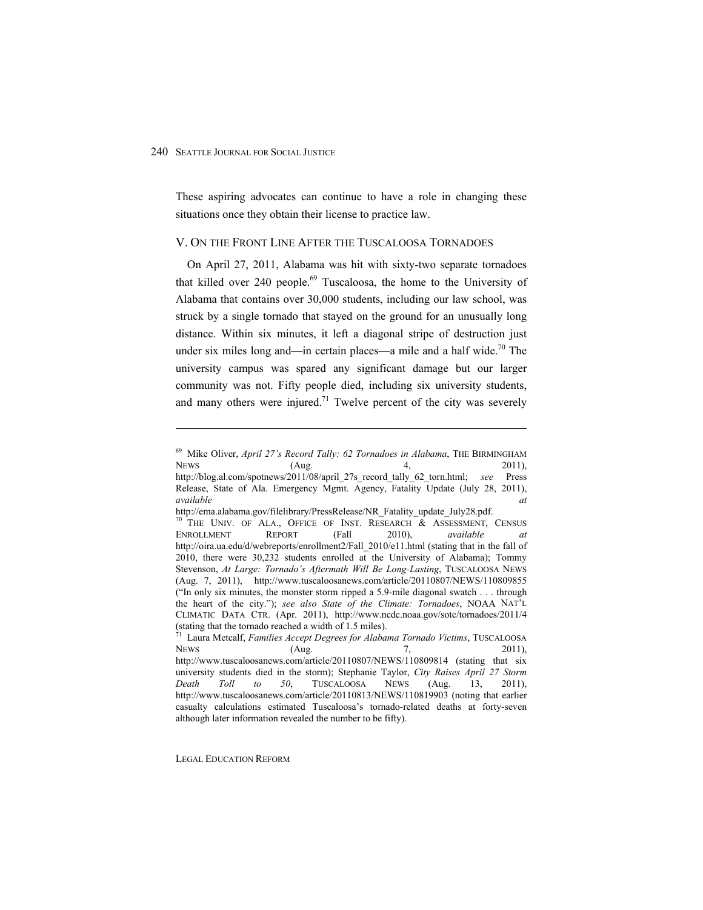$\overline{a}$ 

These aspiring advocates can continue to have a role in changing these situations once they obtain their license to practice law.

#### V. ON THE FRONT LINE AFTER THE TUSCALOOSA TORNADOES

On April 27, 2011, Alabama was hit with sixty-two separate tornadoes that killed over  $240$  people.<sup>69</sup> Tuscaloosa, the home to the University of Alabama that contains over 30,000 students, including our law school, was struck by a single tornado that stayed on the ground for an unusually long distance. Within six minutes, it left a diagonal stripe of destruction just under six miles long and—in certain places—a mile and a half wide.<sup>70</sup> The university campus was spared any significant damage but our larger community was not. Fifty people died, including six university students, and many others were injured.<sup>71</sup> Twelve percent of the city was severely

LEGAL EDUCATION REFORM

<sup>&</sup>lt;sup>69</sup> Mike Oliver, April 27's Record Tally: 62 Tornadoes in Alabama, THE BIRMINGHAM NEWS (Aug. 4, 2011), http://blog.al.com/spotnews/2011/08/april\_27s\_record\_tally\_62\_torn.html; *see* Press Release, State of Ala. Emergency Mgmt. Agency, Fatality Update (July 28, 2011), *available at*

http://ema.alabama.gov/filelibrary/PressRelease/NR\_Fatality\_update\_July28.pdf. 70 THE UNIV. OF ALA., OFFICE OF INST. RESEARCH & ASSESSMENT, CENSUS ENROLLMENT REPORT (Fall 2010), *available at*  http://oira.ua.edu/d/webreports/enrollment2/Fall\_2010/e11.html (stating that in the fall of 2010, there were 30,232 students enrolled at the University of Alabama); Tommy Stevenson, At Large: Tornado's Aftermath Will Be Long-Lasting, TUSCALOOSA NEWS (Aug. 7, 2011), http://www.tuscaloosanews.com/article/20110807/NEWS/110809855 ("In only six minutes, the monster storm ripped a 5.9-mile diagonal swatch  $\dots$  through the heart of the city."); *see also State of the Climate: Tornadoes*, NOAA NAT'L CLIMATIC DATA CTR. (Apr. 2011), http://www.ncdc.noaa.gov/sotc/tornadoes/2011/4 (stating that the tornado reached a width of 1.5 miles).

<sup>71</sup> Laura Metcalf, *Families Accept Degrees for Alabama Tornado Victims*, TUSCALOOSA NEWS  $(Aug. 7, 2011),$ http://www.tuscaloosanews.com/article/20110807/NEWS/110809814 (stating that six university students died in the storm); Stephanie Taylor, *City Raises April 27 Storm Death Toll to 50*, TUSCALOOSA NEWS (Aug. 13, 2011), http://www.tuscaloosanews.com/article/20110813/NEWS/110819903 (noting that earlier casualty calculations estimated Tuscaloosa's tornado-related deaths at forty-seven although later information revealed the number to be fifty).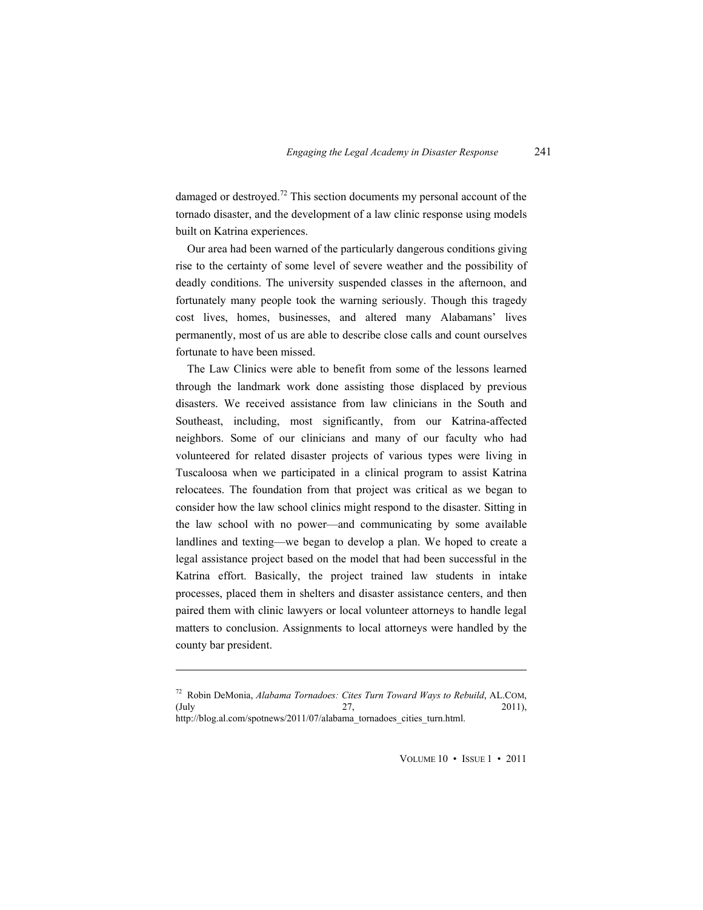damaged or destroyed.<sup>72</sup> This section documents my personal account of the tornado disaster, and the development of a law clinic response using models built on Katrina experiences.

Our area had been warned of the particularly dangerous conditions giving rise to the certainty of some level of severe weather and the possibility of deadly conditions. The university suspended classes in the afternoon, and fortunately many people took the warning seriously. Though this tragedy cost lives, homes, businesses, and altered many Alabamans' lives permanently, most of us are able to describe close calls and count ourselves fortunate to have been missed.

The Law Clinics were able to benefit from some of the lessons learned through the landmark work done assisting those displaced by previous disasters. We received assistance from law clinicians in the South and Southeast, including, most significantly, from our Katrina-affected neighbors. Some of our clinicians and many of our faculty who had volunteered for related disaster projects of various types were living in Tuscaloosa when we participated in a clinical program to assist Katrina relocatees. The foundation from that project was critical as we began to consider how the law school clinics might respond to the disaster. Sitting in the law school with no power—and communicating by some available landlines and texting—we began to develop a plan. We hoped to create a legal assistance project based on the model that had been successful in the Katrina effort. Basically, the project trained law students in intake processes, placed them in shelters and disaster assistance centers, and then paired them with clinic lawyers or local volunteer attorneys to handle legal matters to conclusion. Assignments to local attorneys were handled by the county bar president.

 $\overline{a}$ 

<sup>72</sup> Robin DeMonia, *Alabama Tornadoes: Cites Turn Toward Ways to Rebuild*, AL.COM, (July 27, 2011), http://blog.al.com/spotnews/2011/07/alabama\_tornadoes\_cities\_turn.html.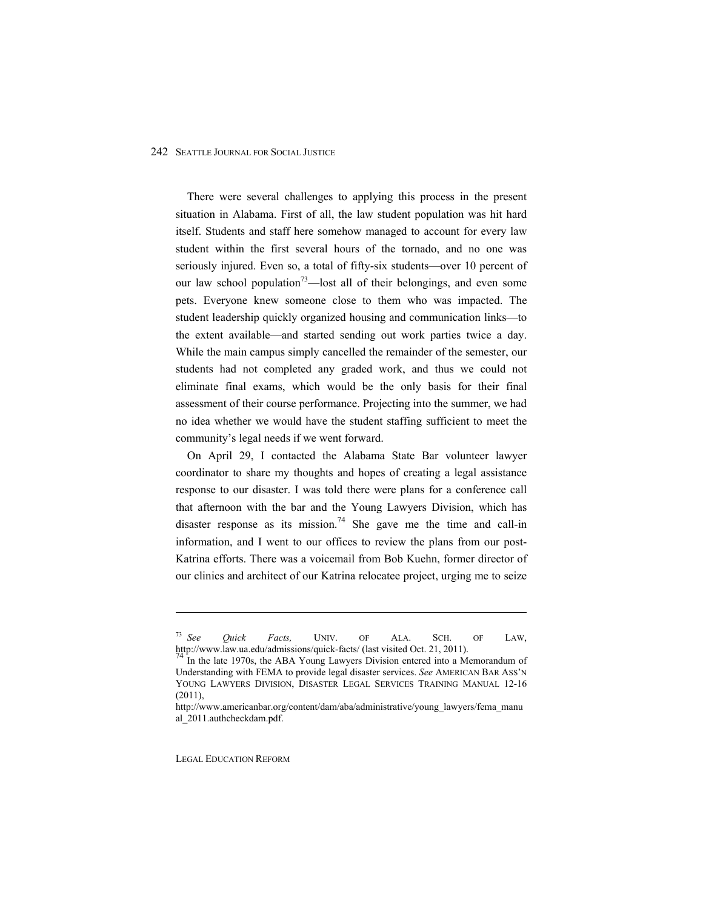There were several challenges to applying this process in the present situation in Alabama. First of all, the law student population was hit hard itself. Students and staff here somehow managed to account for every law student within the first several hours of the tornado, and no one was seriously injured. Even so, a total of fifty-six students—over 10 percent of our law school population<sup>73</sup>—lost all of their belongings, and even some pets. Everyone knew someone close to them who was impacted. The student leadership quickly organized housing and communication links—to the extent available—and started sending out work parties twice a day. While the main campus simply cancelled the remainder of the semester, our students had not completed any graded work, and thus we could not eliminate final exams, which would be the only basis for their final assessment of their course performance. Projecting into the summer, we had no idea whether we would have the student staffing sufficient to meet the community's legal needs if we went forward.

On April 29, I contacted the Alabama State Bar volunteer lawyer coordinator to share my thoughts and hopes of creating a legal assistance response to our disaster. I was told there were plans for a conference call that afternoon with the bar and the Young Lawyers Division, which has disaster response as its mission.<sup>74</sup> She gave me the time and call-in information, and I went to our offices to review the plans from our post-Katrina efforts. There was a voicemail from Bob Kuehn, former director of our clinics and architect of our Katrina relocatee project, urging me to seize

LEGAL EDUCATION REFORM

<sup>73</sup> *See Quick Facts,* UNIV. OF ALA. SCH. OF LAW, http://www.law.ua.edu/admissions/quick-facts/ (last visited Oct. 21, 2011).<br><sup>74</sup> In the late 1970s, the ABA Young Lawyers Division entered into a Memorandum of

Understanding with FEMA to provide legal disaster services. *See* AMERICAN BAR ASS'N YOUNG LAWYERS DIVISION, DISASTER LEGAL SERVICES TRAINING MANUAL 12-16 (2011),

http://www.americanbar.org/content/dam/aba/administrative/young\_lawyers/fema\_manu al\_2011.authcheckdam.pdf.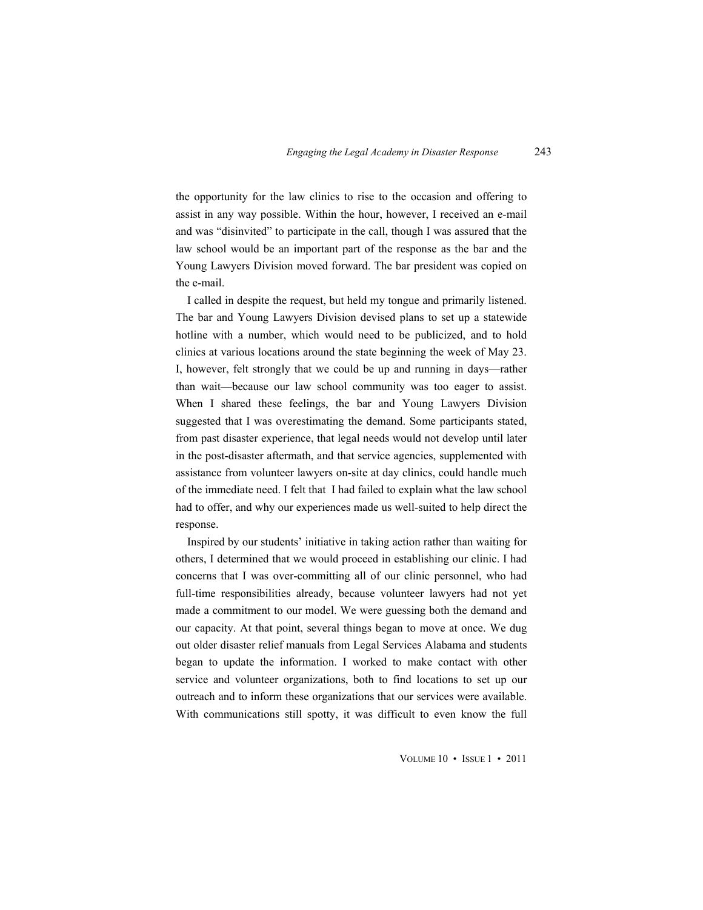the opportunity for the law clinics to rise to the occasion and offering to assist in any way possible. Within the hour, however, I received an e-mail and was "disinvited" to participate in the call, though I was assured that the law school would be an important part of the response as the bar and the Young Lawyers Division moved forward. The bar president was copied on the e-mail.

I called in despite the request, but held my tongue and primarily listened. The bar and Young Lawyers Division devised plans to set up a statewide hotline with a number, which would need to be publicized, and to hold clinics at various locations around the state beginning the week of May 23. I, however, felt strongly that we could be up and running in days—rather than wait—because our law school community was too eager to assist. When I shared these feelings, the bar and Young Lawyers Division suggested that I was overestimating the demand. Some participants stated, from past disaster experience, that legal needs would not develop until later in the post-disaster aftermath, and that service agencies, supplemented with assistance from volunteer lawyers on-site at day clinics, could handle much of the immediate need. I felt that I had failed to explain what the law school had to offer, and why our experiences made us well-suited to help direct the response.

Inspired by our students' initiative in taking action rather than waiting for others, I determined that we would proceed in establishing our clinic. I had concerns that I was over-committing all of our clinic personnel, who had full-time responsibilities already, because volunteer lawyers had not yet made a commitment to our model. We were guessing both the demand and our capacity. At that point, several things began to move at once. We dug out older disaster relief manuals from Legal Services Alabama and students began to update the information. I worked to make contact with other service and volunteer organizations, both to find locations to set up our outreach and to inform these organizations that our services were available. With communications still spotty, it was difficult to even know the full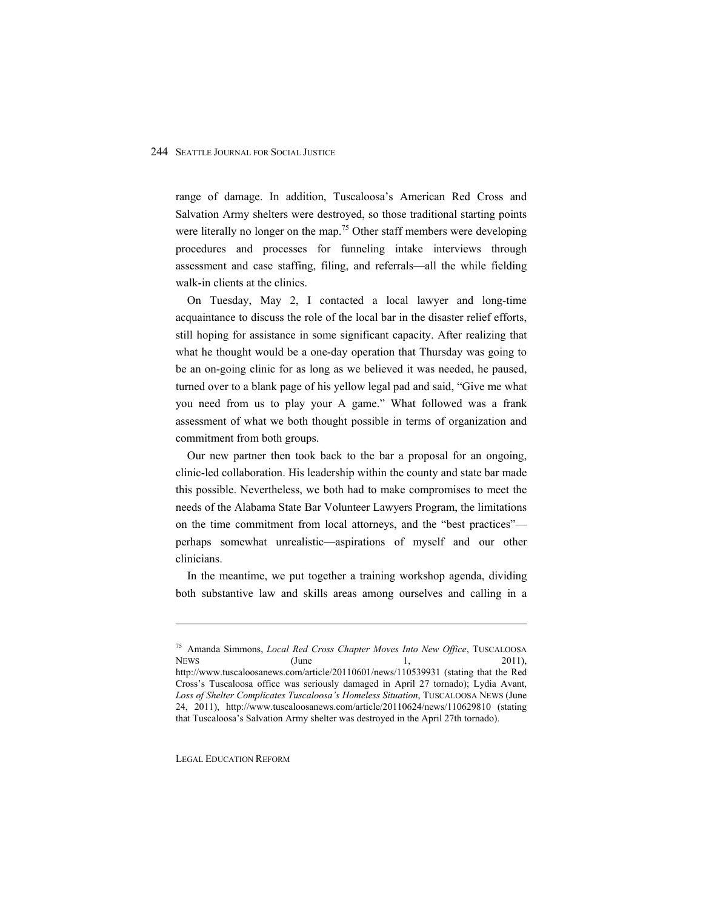range of damage. In addition, Tuscaloosa's American Red Cross and Salvation Army shelters were destroyed, so those traditional starting points were literally no longer on the map.<sup>75</sup> Other staff members were developing procedures and processes for funneling intake interviews through assessment and case staffing, filing, and referrals-all the while fielding walk-in clients at the clinics.

On Tuesday, May 2, I contacted a local lawyer and long-time acquaintance to discuss the role of the local bar in the disaster relief efforts, still hoping for assistance in some significant capacity. After realizing that what he thought would be a one-day operation that Thursday was going to be an on-going clinic for as long as we believed it was needed, he paused, turned over to a blank page of his yellow legal pad and said, "Give me what you need from us to play your A game." What followed was a frank assessment of what we both thought possible in terms of organization and commitment from both groups.

Our new partner then took back to the bar a proposal for an ongoing, clinic-led collaboration. His leadership within the county and state bar made this possible. Nevertheless, we both had to make compromises to meet the needs of the Alabama State Bar Volunteer Lawyers Program, the limitations on the time commitment from local attorneys, and the "best practices"perhaps somewhat unrealistic—aspirations of myself and our other clinicians.

In the meantime, we put together a training workshop agenda, dividing both substantive law and skills areas among ourselves and calling in a

LEGAL EDUCATION REFORM

<sup>75</sup> Amanda Simmons, *Local Red Cross Chapter Moves Into New Office*, TUSCALOOSA NEWS  $(June$   $1,$  2011), http://www.tuscaloosanews.com/article/20110601/news/110539931 (stating that the Red Cross's Tuscaloosa office was seriously damaged in April 27 tornado); Lydia Avant, Loss of Shelter Complicates Tuscaloosa's Homeless Situation, TUSCALOOSA NEWS (June 24, 2011), http://www.tuscaloosanews.com/article/20110624/news/110629810 (stating that Tuscaloosa's Salvation Army shelter was destroyed in the April 27th tornado).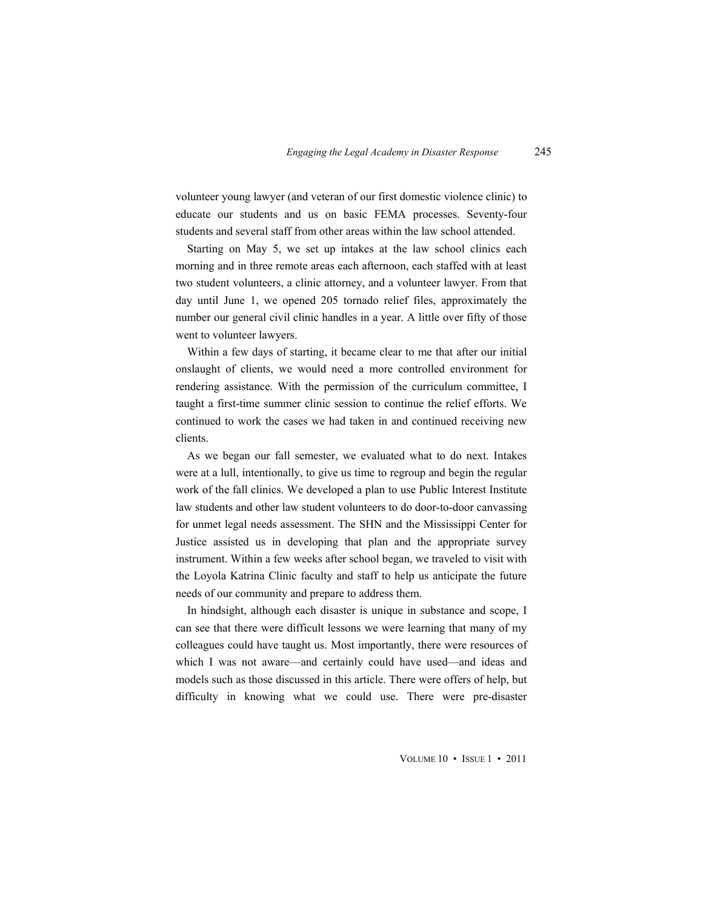volunteer young lawyer (and veteran of our first domestic violence clinic) to educate our students and us on basic FEMA processes. Seventy-four students and several staff from other areas within the law school attended.

Starting on May 5, we set up intakes at the law school clinics each morning and in three remote areas each afternoon, each staffed with at least two student volunteers, a clinic attorney, and a volunteer lawyer. From that day until June 1, we opened 205 tornado relief files, approximately the number our general civil clinic handles in a year. A little over fifty of those went to volunteer lawyers.

Within a few days of starting, it became clear to me that after our initial onslaught of clients, we would need a more controlled environment for rendering assistance. With the permission of the curriculum committee, I taught a first-time summer clinic session to continue the relief efforts. We continued to work the cases we had taken in and continued receiving new clients.

As we began our fall semester, we evaluated what to do next. Intakes were at a lull, intentionally, to give us time to regroup and begin the regular work of the fall clinics. We developed a plan to use Public Interest Institute law students and other law student volunteers to do door-to-door canvassing for unmet legal needs assessment. The SHN and the Mississippi Center for Justice assisted us in developing that plan and the appropriate survey instrument. Within a few weeks after school began, we traveled to visit with the Loyola Katrina Clinic faculty and staff to help us anticipate the future needs of our community and prepare to address them.

In hindsight, although each disaster is unique in substance and scope, I can see that there were difficult lessons we were learning that many of my colleagues could have taught us. Most importantly, there were resources of which I was not aware—and certainly could have used—and ideas and models such as those discussed in this article. There were offers of help, but difficulty in knowing what we could use. There were pre-disaster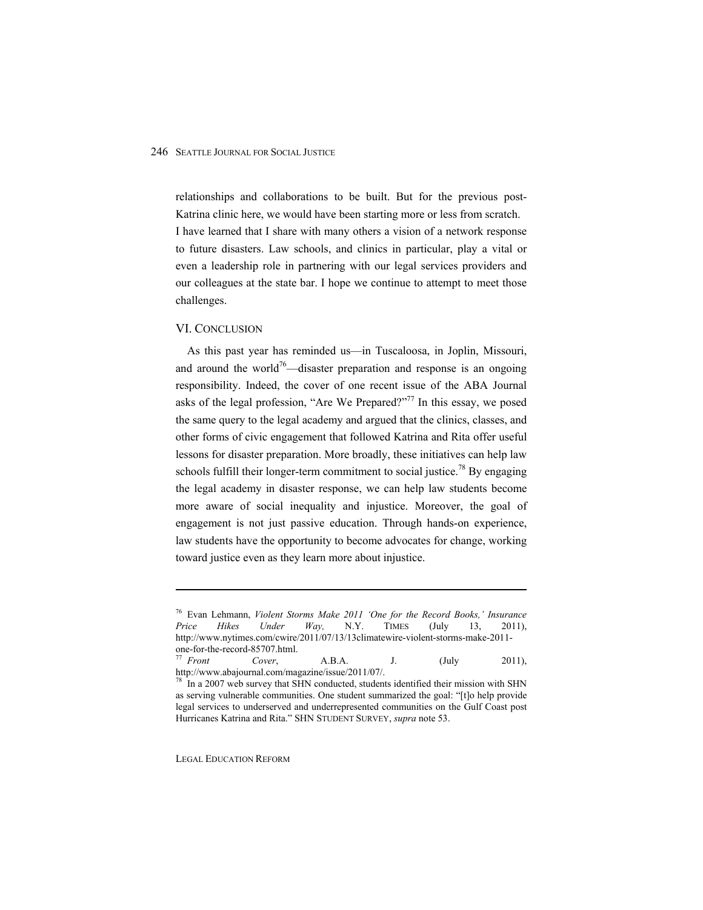relationships and collaborations to be built. But for the previous post-Katrina clinic here, we would have been starting more or less from scratch. I have learned that I share with many others a vision of a network response to future disasters. Law schools, and clinics in particular, play a vital or even a leadership role in partnering with our legal services providers and our colleagues at the state bar. I hope we continue to attempt to meet those challenges.

#### VI. CONCLUSION

As this past year has reminded us—in Tuscaloosa, in Joplin, Missouri, and around the world<sup>76</sup>—disaster preparation and response is an ongoing responsibility. Indeed, the cover of one recent issue of the ABA Journal asks of the legal profession, "Are We Prepared?"<sup>77</sup> In this essay, we posed the same query to the legal academy and argued that the clinics, classes, and other forms of civic engagement that followed Katrina and Rita offer useful lessons for disaster preparation. More broadly, these initiatives can help law schools fulfill their longer-term commitment to social justice.<sup>78</sup> By engaging the legal academy in disaster response, we can help law students become more aware of social inequality and injustice. Moreover, the goal of engagement is not just passive education. Through hands-on experience, law students have the opportunity to become advocates for change, working toward justice even as they learn more about injustice.

LEGAL EDUCATION REFORM

<sup>&</sup>lt;sup>76</sup> Evan Lehmann, *Violent Storms Make 2011 'One for the Record Books,' Insurance Price Hikes Under Way,* N.Y. TIMES (July 13, 2011), http://www.nytimes.com/cwire/2011/07/13/13climatewire-violent-storms-make-2011 one-for-the-record-85707.html.

<sup>77</sup> *Front Cover*, A.B.A. J. (July 2011), http://www.abajournal.com/magazine/issue/2011/07/.

 $78$  In a 2007 web survey that SHN conducted, students identified their mission with SHN as serving vulnerable communities. One student summarized the goal: "[t]o help provide legal services to underserved and underrepresented communities on the Gulf Coast post Hurricanes Katrina and Rita." SHN STUDENT SURVEY, *supra* note 53.